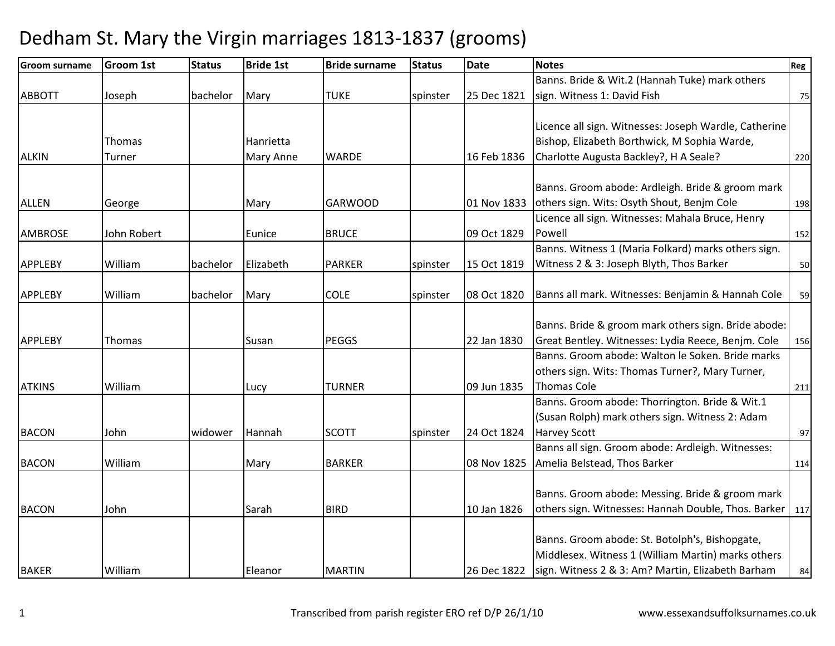| <b>Groom surname</b> | <b>Groom 1st</b> | <b>Status</b> | <b>Bride 1st</b> | <b>Bride surname</b> | <b>Status</b> | <b>Date</b> | <b>Notes</b>                                              | Reg |
|----------------------|------------------|---------------|------------------|----------------------|---------------|-------------|-----------------------------------------------------------|-----|
|                      |                  |               |                  |                      |               |             | Banns. Bride & Wit.2 (Hannah Tuke) mark others            |     |
| <b>ABBOTT</b>        | Joseph           | bachelor      | Mary             | <b>TUKE</b>          | spinster      | 25 Dec 1821 | sign. Witness 1: David Fish                               | 75  |
|                      |                  |               |                  |                      |               |             |                                                           |     |
|                      |                  |               |                  |                      |               |             | Licence all sign. Witnesses: Joseph Wardle, Catherine     |     |
|                      | Thomas           |               | Hanrietta        |                      |               |             | Bishop, Elizabeth Borthwick, M Sophia Warde,              |     |
| <b>ALKIN</b>         | Turner           |               | Mary Anne        | <b>WARDE</b>         |               | 16 Feb 1836 | Charlotte Augusta Backley?, H A Seale?                    | 220 |
|                      |                  |               |                  |                      |               |             |                                                           |     |
|                      |                  |               |                  |                      |               |             | Banns. Groom abode: Ardleigh. Bride & groom mark          |     |
| <b>ALLEN</b>         | George           |               | Mary             | <b>GARWOOD</b>       |               | 01 Nov 1833 | others sign. Wits: Osyth Shout, Benjm Cole                | 198 |
|                      |                  |               |                  |                      |               |             | Licence all sign. Witnesses: Mahala Bruce, Henry          |     |
| <b>AMBROSE</b>       | John Robert      |               | Eunice           | <b>BRUCE</b>         |               | 09 Oct 1829 | Powell                                                    | 152 |
|                      |                  |               |                  |                      |               |             | Banns. Witness 1 (Maria Folkard) marks others sign.       |     |
| <b>APPLEBY</b>       | William          | bachelor      | Elizabeth        | <b>PARKER</b>        | spinster      | 15 Oct 1819 | Witness 2 & 3: Joseph Blyth, Thos Barker                  | 50  |
| <b>APPLEBY</b>       | William          | bachelor      |                  | <b>COLE</b>          |               | 08 Oct 1820 |                                                           |     |
|                      |                  |               | Mary             |                      | spinster      |             | Banns all mark. Witnesses: Benjamin & Hannah Cole         | 59  |
|                      |                  |               |                  |                      |               |             | Banns. Bride & groom mark others sign. Bride abode:       |     |
| <b>APPLEBY</b>       | Thomas           |               | Susan            | <b>PEGGS</b>         |               | 22 Jan 1830 | Great Bentley. Witnesses: Lydia Reece, Benjm. Cole        | 156 |
|                      |                  |               |                  |                      |               |             | Banns. Groom abode: Walton le Soken. Bride marks          |     |
|                      |                  |               |                  |                      |               |             | others sign. Wits: Thomas Turner?, Mary Turner,           |     |
| <b>ATKINS</b>        | William          |               | Lucy             | <b>TURNER</b>        |               | 09 Jun 1835 | <b>Thomas Cole</b>                                        | 211 |
|                      |                  |               |                  |                      |               |             | Banns. Groom abode: Thorrington. Bride & Wit.1            |     |
|                      |                  |               |                  |                      |               |             | (Susan Rolph) mark others sign. Witness 2: Adam           |     |
| <b>BACON</b>         | John             | widower       | Hannah           | <b>SCOTT</b>         | spinster      | 24 Oct 1824 | <b>Harvey Scott</b>                                       | 97  |
|                      |                  |               |                  |                      |               |             | Banns all sign. Groom abode: Ardleigh. Witnesses:         |     |
| <b>BACON</b>         | William          |               | Mary             | <b>BARKER</b>        |               | 08 Nov 1825 | Amelia Belstead, Thos Barker                              | 114 |
|                      |                  |               |                  |                      |               |             |                                                           |     |
|                      |                  |               |                  |                      |               |             | Banns. Groom abode: Messing. Bride & groom mark           |     |
| <b>BACON</b>         | John             |               | Sarah            | <b>BIRD</b>          |               | 10 Jan 1826 | others sign. Witnesses: Hannah Double, Thos. Barker   117 |     |
|                      |                  |               |                  |                      |               |             |                                                           |     |
|                      |                  |               |                  |                      |               |             | Banns. Groom abode: St. Botolph's, Bishopgate,            |     |
|                      |                  |               |                  |                      |               |             | Middlesex. Witness 1 (William Martin) marks others        |     |
| <b>BAKER</b>         | William          |               | Eleanor          | <b>MARTIN</b>        |               | 26 Dec 1822 | sign. Witness 2 & 3: Am? Martin, Elizabeth Barham         | 84  |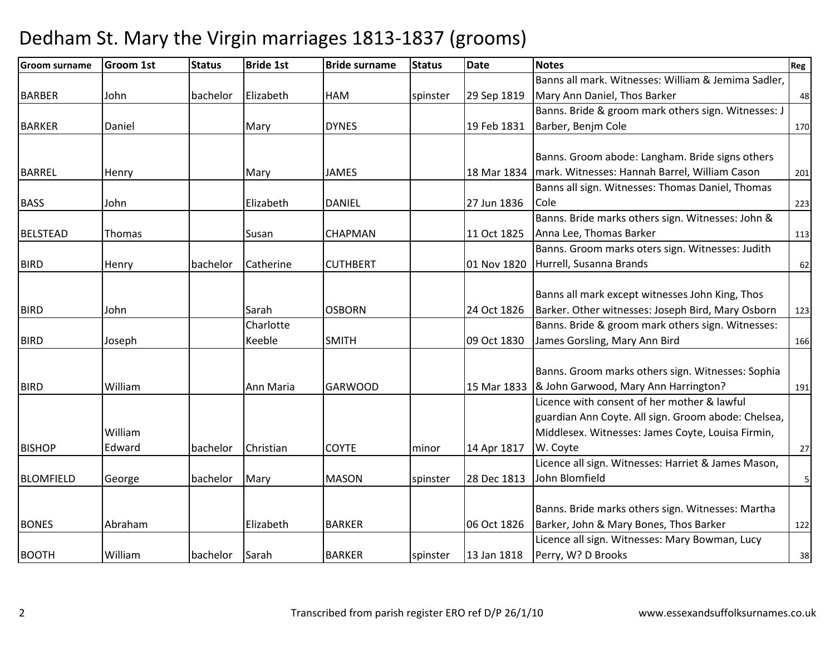| <b>Groom surname</b> | <b>Groom 1st</b> | <b>Status</b> | <b>Bride 1st</b> | <b>Bride surname</b> | <b>Status</b> | <b>Date</b> | <b>Notes</b>                                        | Reg         |
|----------------------|------------------|---------------|------------------|----------------------|---------------|-------------|-----------------------------------------------------|-------------|
|                      |                  |               |                  |                      |               |             | Banns all mark. Witnesses: William & Jemima Sadler, |             |
| <b>BARBER</b>        | John             | bachelor      | Elizabeth        | <b>HAM</b>           | spinster      | 29 Sep 1819 | Mary Ann Daniel, Thos Barker                        | 48          |
|                      |                  |               |                  |                      |               |             | Banns. Bride & groom mark others sign. Witnesses: J |             |
| <b>BARKER</b>        | Daniel           |               | Mary             | <b>DYNES</b>         |               | 19 Feb 1831 | Barber, Benjm Cole                                  | 170         |
|                      |                  |               |                  |                      |               |             |                                                     |             |
|                      |                  |               |                  |                      |               |             | Banns. Groom abode: Langham. Bride signs others     |             |
| <b>BARREL</b>        | Henry            |               | Mary             | <b>JAMES</b>         |               | 18 Mar 1834 | mark. Witnesses: Hannah Barrel, William Cason       | 201         |
|                      |                  |               |                  |                      |               |             | Banns all sign. Witnesses: Thomas Daniel, Thomas    |             |
| <b>BASS</b>          | John             |               | Elizabeth        | <b>DANIEL</b>        |               | 27 Jun 1836 | Cole                                                | 223         |
|                      |                  |               |                  |                      |               |             | Banns. Bride marks others sign. Witnesses: John &   |             |
| <b>BELSTEAD</b>      | Thomas           |               | Susan            | <b>CHAPMAN</b>       |               | 11 Oct 1825 | Anna Lee, Thomas Barker                             | 113         |
|                      |                  |               |                  |                      |               |             | Banns. Groom marks oters sign. Witnesses: Judith    |             |
| <b>BIRD</b>          | Henry            | bachelor      | Catherine        | <b>CUTHBERT</b>      |               | 01 Nov 1820 | Hurrell, Susanna Brands                             | 62          |
|                      |                  |               |                  |                      |               |             |                                                     |             |
|                      |                  |               |                  |                      |               |             | Banns all mark except witnesses John King, Thos     |             |
| <b>BIRD</b>          | John             |               | Sarah            | <b>OSBORN</b>        |               | 24 Oct 1826 | Barker. Other witnesses: Joseph Bird, Mary Osborn   | 123         |
|                      |                  |               | Charlotte        |                      |               |             | Banns. Bride & groom mark others sign. Witnesses:   |             |
| <b>BIRD</b>          | Joseph           |               | Keeble           | <b>SMITH</b>         |               | 09 Oct 1830 | James Gorsling, Mary Ann Bird                       | 166         |
|                      |                  |               |                  |                      |               |             |                                                     |             |
|                      |                  |               |                  |                      |               |             | Banns. Groom marks others sign. Witnesses: Sophia   |             |
| <b>BIRD</b>          | William          |               | Ann Maria        | <b>GARWOOD</b>       |               | 15 Mar 1833 | & John Garwood, Mary Ann Harrington?                | 191         |
|                      |                  |               |                  |                      |               |             | Licence with consent of her mother & lawful         |             |
|                      |                  |               |                  |                      |               |             | guardian Ann Coyte. All sign. Groom abode: Chelsea, |             |
|                      | William          |               |                  |                      |               |             | Middlesex. Witnesses: James Coyte, Louisa Firmin,   |             |
| <b>BISHOP</b>        | Edward           | bachelor      | Christian        | <b>COYTE</b>         | minor         | 14 Apr 1817 | W. Coyte                                            | 27          |
|                      |                  |               |                  |                      |               |             | Licence all sign. Witnesses: Harriet & James Mason, |             |
| <b>BLOMFIELD</b>     | George           | bachelor      | Mary             | <b>MASON</b>         | spinster      | 28 Dec 1813 | John Blomfield                                      | $\mathsf S$ |
|                      |                  |               |                  |                      |               |             |                                                     |             |
|                      |                  |               |                  |                      |               |             | Banns. Bride marks others sign. Witnesses: Martha   |             |
| <b>BONES</b>         | Abraham          |               | Elizabeth        | <b>BARKER</b>        |               | 06 Oct 1826 | Barker, John & Mary Bones, Thos Barker              | 122         |
|                      |                  |               |                  |                      |               |             | Licence all sign. Witnesses: Mary Bowman, Lucy      |             |
| <b>BOOTH</b>         | William          | bachelor      | Sarah            | <b>BARKER</b>        | spinster      | 13 Jan 1818 | Perry, W? D Brooks                                  | 38          |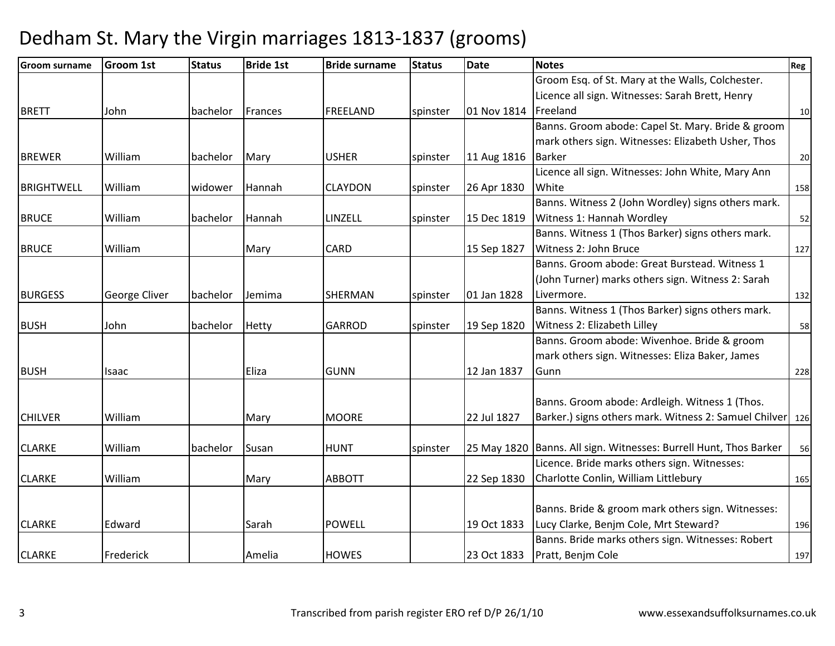| <b>Groom surname</b> | Groom 1st     | <b>Status</b> | <b>Bride 1st</b> | <b>Bride surname</b> | <b>Status</b> | <b>Date</b> | <b>Notes</b>                                                                               | Reg |
|----------------------|---------------|---------------|------------------|----------------------|---------------|-------------|--------------------------------------------------------------------------------------------|-----|
|                      |               |               |                  |                      |               |             | Groom Esq. of St. Mary at the Walls, Colchester.                                           |     |
|                      |               |               |                  |                      |               |             | Licence all sign. Witnesses: Sarah Brett, Henry                                            |     |
| <b>BRETT</b>         | John          | bachelor      | Frances          | FREELAND             | spinster      | 01 Nov 1814 | Freeland                                                                                   | 10  |
|                      |               |               |                  |                      |               |             | Banns. Groom abode: Capel St. Mary. Bride & groom                                          |     |
|                      |               |               |                  |                      |               |             | mark others sign. Witnesses: Elizabeth Usher, Thos                                         |     |
| <b>BREWER</b>        | William       | bachelor      | Mary             | <b>USHER</b>         | spinster      | 11 Aug 1816 | <b>Barker</b>                                                                              | 20  |
|                      |               |               |                  |                      |               |             | Licence all sign. Witnesses: John White, Mary Ann                                          |     |
| <b>BRIGHTWELL</b>    | William       | widower       | Hannah           | <b>CLAYDON</b>       | spinster      | 26 Apr 1830 | White                                                                                      | 158 |
|                      |               |               |                  |                      |               |             | Banns. Witness 2 (John Wordley) signs others mark.                                         |     |
| <b>BRUCE</b>         | William       | bachelor      | Hannah           | LINZELL              | spinster      | 15 Dec 1819 | Witness 1: Hannah Wordley                                                                  | 52  |
|                      |               |               |                  |                      |               |             | Banns. Witness 1 (Thos Barker) signs others mark.                                          |     |
| <b>BRUCE</b>         | William       |               | Mary             | <b>CARD</b>          |               | 15 Sep 1827 | Witness 2: John Bruce                                                                      | 127 |
|                      |               |               |                  |                      |               |             | Banns. Groom abode: Great Burstead. Witness 1                                              |     |
|                      |               |               |                  |                      |               |             | (John Turner) marks others sign. Witness 2: Sarah                                          |     |
| <b>BURGESS</b>       | George Cliver | bachelor      | Jemima           | <b>SHERMAN</b>       | spinster      | 01 Jan 1828 | Livermore.                                                                                 | 132 |
|                      |               |               |                  |                      |               |             | Banns. Witness 1 (Thos Barker) signs others mark.                                          |     |
| <b>BUSH</b>          | John          | bachelor      | <b>Hetty</b>     | <b>GARROD</b>        | spinster      | 19 Sep 1820 | Witness 2: Elizabeth Lilley                                                                | 58  |
|                      |               |               |                  |                      |               |             | Banns. Groom abode: Wivenhoe. Bride & groom                                                |     |
|                      |               |               |                  |                      |               |             | mark others sign. Witnesses: Eliza Baker, James                                            |     |
| <b>BUSH</b>          | Isaac         |               | Eliza            | <b>GUNN</b>          |               | 12 Jan 1837 | Gunn                                                                                       | 228 |
|                      |               |               |                  |                      |               |             |                                                                                            |     |
|                      |               |               |                  |                      |               |             | Banns. Groom abode: Ardleigh. Witness 1 (Thos.                                             |     |
| <b>CHILVER</b>       | William       |               | Mary             | <b>MOORE</b>         |               | 22 Jul 1827 | Barker.) signs others mark. Witness 2: Samuel Chilver 126                                  |     |
|                      |               |               |                  |                      |               |             |                                                                                            |     |
| <b>CLARKE</b>        | William       | bachelor      | Susan            | <b>HUNT</b>          | spinster      | 25 May 1820 | Banns. All sign. Witnesses: Burrell Hunt, Thos Barker                                      | 56  |
|                      |               |               |                  |                      |               |             | Licence. Bride marks others sign. Witnesses:                                               |     |
| <b>CLARKE</b>        | William       |               | Mary             | <b>ABBOTT</b>        |               | 22 Sep 1830 | Charlotte Conlin, William Littlebury                                                       | 165 |
|                      |               |               |                  |                      |               |             |                                                                                            |     |
|                      |               |               |                  | <b>POWELL</b>        |               |             | Banns. Bride & groom mark others sign. Witnesses:                                          |     |
| <b>CLARKE</b>        | Edward        |               | Sarah            |                      |               | 19 Oct 1833 | Lucy Clarke, Benjm Cole, Mrt Steward?<br>Banns. Bride marks others sign. Witnesses: Robert | 196 |
| <b>CLARKE</b>        |               |               |                  | <b>HOWES</b>         |               | 23 Oct 1833 |                                                                                            |     |
|                      | Frederick     |               | Amelia           |                      |               |             | Pratt, Benjm Cole                                                                          | 197 |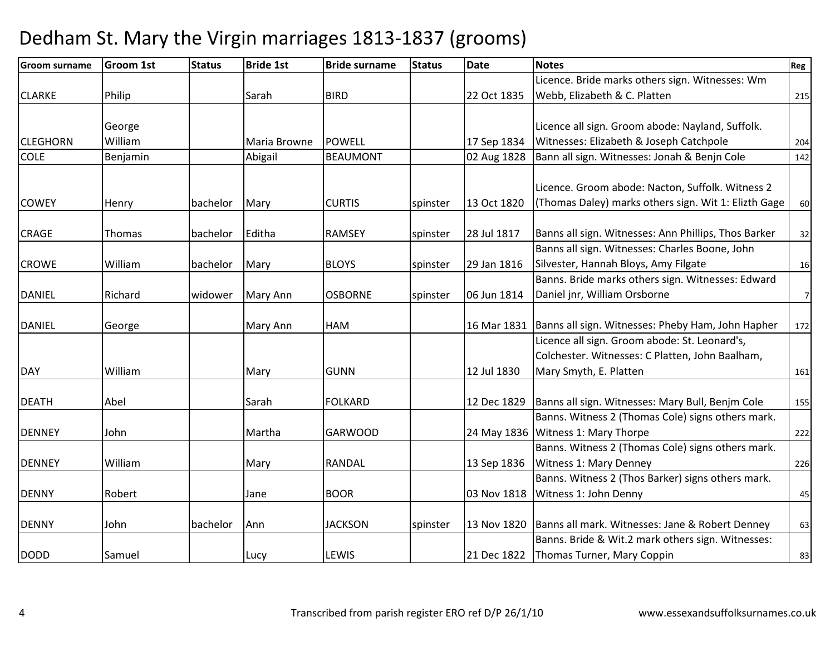| <b>Groom surname</b> | <b>Groom 1st</b> | <b>Status</b> | <b>Bride 1st</b> | <b>Bride surname</b> | <b>Status</b> | <b>Date</b> | <b>Notes</b>                                         | Reg            |
|----------------------|------------------|---------------|------------------|----------------------|---------------|-------------|------------------------------------------------------|----------------|
|                      |                  |               |                  |                      |               |             | Licence. Bride marks others sign. Witnesses: Wm      |                |
| <b>CLARKE</b>        | Philip           |               | Sarah            | <b>BIRD</b>          |               | 22 Oct 1835 | Webb, Elizabeth & C. Platten                         | 215            |
|                      |                  |               |                  |                      |               |             |                                                      |                |
|                      | George           |               |                  |                      |               |             | Licence all sign. Groom abode: Nayland, Suffolk.     |                |
| <b>CLEGHORN</b>      | William          |               | Maria Browne     | <b>POWELL</b>        |               | 17 Sep 1834 | Witnesses: Elizabeth & Joseph Catchpole              | 204            |
| <b>COLE</b>          | Benjamin         |               | Abigail          | <b>BEAUMONT</b>      |               | 02 Aug 1828 | Bann all sign. Witnesses: Jonah & Benjn Cole         | 142            |
|                      |                  |               |                  |                      |               |             |                                                      |                |
|                      |                  |               |                  |                      |               |             | Licence. Groom abode: Nacton, Suffolk. Witness 2     |                |
| <b>COWEY</b>         | Henry            | bachelor      | Mary             | <b>CURTIS</b>        | spinster      | 13 Oct 1820 | (Thomas Daley) marks others sign. Wit 1: Elizth Gage | 60             |
|                      |                  |               |                  |                      |               |             |                                                      |                |
| <b>CRAGE</b>         | Thomas           | bachelor      | Editha           | <b>RAMSEY</b>        | spinster      | 28 Jul 1817 | Banns all sign. Witnesses: Ann Phillips, Thos Barker | 32             |
|                      |                  |               |                  |                      |               |             | Banns all sign. Witnesses: Charles Boone, John       |                |
| <b>CROWE</b>         | William          | bachelor      | Mary             | <b>BLOYS</b>         | spinster      | 29 Jan 1816 | Silvester, Hannah Bloys, Amy Filgate                 | 16             |
|                      |                  |               |                  |                      |               |             | Banns. Bride marks others sign. Witnesses: Edward    |                |
| <b>DANIEL</b>        | Richard          | widower       | Mary Ann         | <b>OSBORNE</b>       | spinster      | 06 Jun 1814 | Daniel jnr, William Orsborne                         | $\overline{7}$ |
|                      |                  |               |                  |                      |               |             |                                                      |                |
| <b>DANIEL</b>        | George           |               | Mary Ann         | HAM                  |               | 16 Mar 1831 | Banns all sign. Witnesses: Pheby Ham, John Hapher    | 172            |
|                      |                  |               |                  |                      |               |             | Licence all sign. Groom abode: St. Leonard's,        |                |
|                      |                  |               |                  |                      |               |             | Colchester. Witnesses: C Platten, John Baalham,      |                |
| <b>DAY</b>           | William          |               | Mary             | <b>GUNN</b>          |               | 12 Jul 1830 | Mary Smyth, E. Platten                               | 161            |
| <b>DEATH</b>         | Abel             |               | Sarah            | <b>FOLKARD</b>       |               | 12 Dec 1829 | Banns all sign. Witnesses: Mary Bull, Benjm Cole     | 155            |
|                      |                  |               |                  |                      |               |             | Banns. Witness 2 (Thomas Cole) signs others mark.    |                |
| <b>DENNEY</b>        | John             |               | Martha           | <b>GARWOOD</b>       |               | 24 May 1836 | Witness 1: Mary Thorpe                               | 222            |
|                      |                  |               |                  |                      |               |             | Banns. Witness 2 (Thomas Cole) signs others mark.    |                |
| <b>DENNEY</b>        | William          |               | Mary             | <b>RANDAL</b>        |               | 13 Sep 1836 | Witness 1: Mary Denney                               | 226            |
|                      |                  |               |                  |                      |               |             | Banns. Witness 2 (Thos Barker) signs others mark.    |                |
| <b>DENNY</b>         | Robert           |               | Jane             | <b>BOOR</b>          |               | 03 Nov 1818 | Witness 1: John Denny                                | 45             |
|                      |                  |               |                  |                      |               |             |                                                      |                |
| <b>DENNY</b>         | John             | bachelor      | Ann              | <b>JACKSON</b>       | spinster      | 13 Nov 1820 | Banns all mark. Witnesses: Jane & Robert Denney      | 63             |
|                      |                  |               |                  |                      |               |             | Banns. Bride & Wit.2 mark others sign. Witnesses:    |                |
| <b>DODD</b>          | Samuel           |               | Lucy             | LEWIS                |               | 21 Dec 1822 | Thomas Turner, Mary Coppin                           | 83             |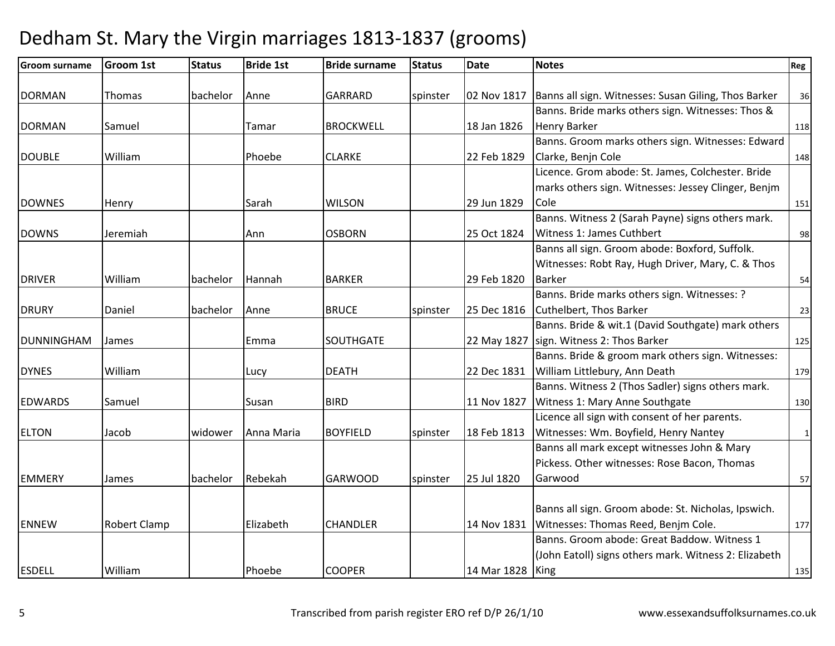| <b>Groom surname</b> | <b>Groom 1st</b> | <b>Status</b> | <b>Bride 1st</b> | <b>Bride surname</b> | <b>Status</b> | <b>Date</b> | <b>Notes</b>                                          | Reg          |
|----------------------|------------------|---------------|------------------|----------------------|---------------|-------------|-------------------------------------------------------|--------------|
|                      |                  |               |                  |                      |               |             |                                                       |              |
| <b>DORMAN</b>        | Thomas           | bachelor      | Anne             | <b>GARRARD</b>       | spinster      | 02 Nov 1817 | Banns all sign. Witnesses: Susan Giling, Thos Barker  | 36           |
|                      |                  |               |                  |                      |               |             | Banns. Bride marks others sign. Witnesses: Thos &     |              |
| <b>DORMAN</b>        | Samuel           |               | Tamar            | <b>BROCKWELL</b>     |               | 18 Jan 1826 | <b>Henry Barker</b>                                   | 118          |
|                      |                  |               |                  |                      |               |             | Banns. Groom marks others sign. Witnesses: Edward     |              |
| <b>DOUBLE</b>        | William          |               | Phoebe           | <b>CLARKE</b>        |               | 22 Feb 1829 | Clarke, Benjn Cole                                    | 148          |
|                      |                  |               |                  |                      |               |             | Licence. Grom abode: St. James, Colchester. Bride     |              |
|                      |                  |               |                  |                      |               |             | marks others sign. Witnesses: Jessey Clinger, Benjm   |              |
| <b>DOWNES</b>        | Henry            |               | Sarah            | <b>WILSON</b>        |               | 29 Jun 1829 | Cole                                                  | 151          |
|                      |                  |               |                  |                      |               |             | Banns. Witness 2 (Sarah Payne) signs others mark.     |              |
| <b>DOWNS</b>         | Jeremiah         |               | Ann              | <b>OSBORN</b>        |               | 25 Oct 1824 | Witness 1: James Cuthbert                             | 98           |
|                      |                  |               |                  |                      |               |             | Banns all sign. Groom abode: Boxford, Suffolk.        |              |
|                      |                  |               |                  |                      |               |             | Witnesses: Robt Ray, Hugh Driver, Mary, C. & Thos     |              |
| <b>DRIVER</b>        | William          | bachelor      | Hannah           | <b>BARKER</b>        |               | 29 Feb 1820 | <b>Barker</b>                                         | 54           |
|                      |                  |               |                  |                      |               |             | Banns. Bride marks others sign. Witnesses: ?          |              |
| <b>DRURY</b>         | Daniel           | bachelor      | Anne             | <b>BRUCE</b>         | spinster      | 25 Dec 1816 | Cuthelbert, Thos Barker                               | 23           |
|                      |                  |               |                  |                      |               |             | Banns. Bride & wit.1 (David Southgate) mark others    |              |
| <b>DUNNINGHAM</b>    | James            |               | Emma             | <b>SOUTHGATE</b>     |               | 22 May 1827 | sign. Witness 2: Thos Barker                          | 125          |
|                      |                  |               |                  |                      |               |             | Banns. Bride & groom mark others sign. Witnesses:     |              |
| <b>DYNES</b>         | William          |               | Lucy             | <b>DEATH</b>         |               | 22 Dec 1831 | William Littlebury, Ann Death                         | 179          |
|                      |                  |               |                  |                      |               |             | Banns. Witness 2 (Thos Sadler) signs others mark.     |              |
| <b>EDWARDS</b>       | Samuel           |               | Susan            | <b>BIRD</b>          |               | 11 Nov 1827 | Witness 1: Mary Anne Southgate                        | 130          |
|                      |                  |               |                  |                      |               |             | Licence all sign with consent of her parents.         |              |
| <b>ELTON</b>         | Jacob            | widower       | Anna Maria       | <b>BOYFIELD</b>      | spinster      | 18 Feb 1813 | Witnesses: Wm. Boyfield, Henry Nantey                 | $\mathbf{1}$ |
|                      |                  |               |                  |                      |               |             | Banns all mark except witnesses John & Mary           |              |
|                      |                  |               |                  |                      |               |             | Pickess. Other witnesses: Rose Bacon, Thomas          |              |
| <b>EMMERY</b>        | James            | bachelor      | Rebekah          | <b>GARWOOD</b>       | spinster      | 25 Jul 1820 | Garwood                                               | 57           |
|                      |                  |               |                  |                      |               |             |                                                       |              |
|                      |                  |               |                  |                      |               |             | Banns all sign. Groom abode: St. Nicholas, Ipswich.   |              |
| <b>ENNEW</b>         | Robert Clamp     |               | Elizabeth        | <b>CHANDLER</b>      |               | 14 Nov 1831 | Witnesses: Thomas Reed, Benjm Cole.                   | 177          |
|                      |                  |               |                  |                      |               |             | Banns. Groom abode: Great Baddow. Witness 1           |              |
|                      |                  |               |                  |                      |               |             | (John Eatoll) signs others mark. Witness 2: Elizabeth |              |
| <b>ESDELL</b>        | William          |               | Phoebe           | <b>COOPER</b>        |               | 14 Mar 1828 | King                                                  | 135          |
|                      |                  |               |                  |                      |               |             |                                                       |              |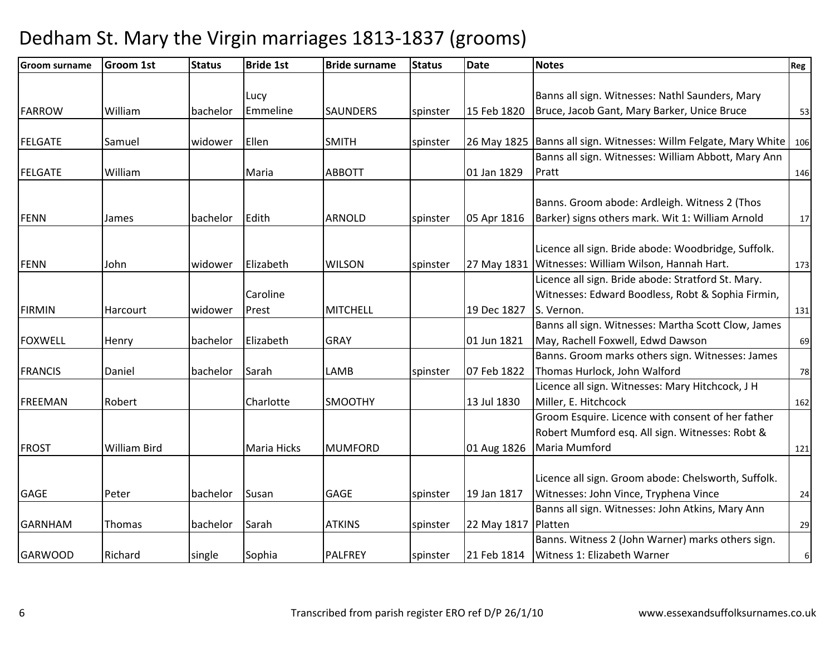| <b>Groom surname</b> | Groom 1st           | <b>Status</b> | <b>Bride 1st</b> | <b>Bride surname</b> | <b>Status</b> | <b>Date</b> | <b>Notes</b>                                         | Reg              |
|----------------------|---------------------|---------------|------------------|----------------------|---------------|-------------|------------------------------------------------------|------------------|
|                      |                     |               |                  |                      |               |             |                                                      |                  |
|                      |                     |               | Lucy             |                      |               |             | Banns all sign. Witnesses: Nathl Saunders, Mary      |                  |
| <b>FARROW</b>        | William             | bachelor      | Emmeline         | <b>SAUNDERS</b>      | spinster      | 15 Feb 1820 | Bruce, Jacob Gant, Mary Barker, Unice Bruce          | 53               |
|                      |                     |               |                  |                      |               |             |                                                      |                  |
| <b>FELGATE</b>       | Samuel              | widower       | Ellen            | <b>SMITH</b>         | spinster      | 26 May 1825 | Banns all sign. Witnesses: Willm Felgate, Mary White | 106              |
|                      |                     |               |                  |                      |               |             | Banns all sign. Witnesses: William Abbott, Mary Ann  |                  |
| <b>FELGATE</b>       | William             |               | Maria            | <b>ABBOTT</b>        |               | 01 Jan 1829 | Pratt                                                | 146              |
|                      |                     |               |                  |                      |               |             |                                                      |                  |
|                      |                     |               |                  |                      |               |             | Banns. Groom abode: Ardleigh. Witness 2 (Thos        |                  |
| <b>FENN</b>          | James               | bachelor      | Edith            | <b>ARNOLD</b>        | spinster      | 05 Apr 1816 | Barker) signs others mark. Wit 1: William Arnold     | 17               |
|                      |                     |               |                  |                      |               |             | Licence all sign. Bride abode: Woodbridge, Suffolk.  |                  |
| <b>FENN</b>          | John                | widower       | Elizabeth        | <b>WILSON</b>        | spinster      | 27 May 1831 | Witnesses: William Wilson, Hannah Hart.              | 173              |
|                      |                     |               |                  |                      |               |             | Licence all sign. Bride abode: Stratford St. Mary.   |                  |
|                      |                     |               | Caroline         |                      |               |             | Witnesses: Edward Boodless, Robt & Sophia Firmin,    |                  |
| <b>FIRMIN</b>        | Harcourt            | widower       | Prest            | <b>MITCHELL</b>      |               | 19 Dec 1827 | S. Vernon.                                           | 131              |
|                      |                     |               |                  |                      |               |             | Banns all sign. Witnesses: Martha Scott Clow, James  |                  |
| <b>FOXWELL</b>       | Henry               | bachelor      | Elizabeth        | <b>GRAY</b>          |               | 01 Jun 1821 | May, Rachell Foxwell, Edwd Dawson                    | 69               |
|                      |                     |               |                  |                      |               |             | Banns. Groom marks others sign. Witnesses: James     |                  |
| <b>FRANCIS</b>       | Daniel              | bachelor      | Sarah            | LAMB                 | spinster      | 07 Feb 1822 | Thomas Hurlock, John Walford                         | 78               |
|                      |                     |               |                  |                      |               |             | Licence all sign. Witnesses: Mary Hitchcock, J H     |                  |
| <b>FREEMAN</b>       | Robert              |               | Charlotte        | <b>SMOOTHY</b>       |               | 13 Jul 1830 | Miller, E. Hitchcock                                 | 162              |
|                      |                     |               |                  |                      |               |             | Groom Esquire. Licence with consent of her father    |                  |
|                      |                     |               |                  |                      |               |             | Robert Mumford esq. All sign. Witnesses: Robt &      |                  |
| <b>FROST</b>         | <b>William Bird</b> |               | Maria Hicks      | <b>MUMFORD</b>       |               | 01 Aug 1826 | Maria Mumford                                        | 121              |
|                      |                     |               |                  |                      |               |             |                                                      |                  |
|                      |                     |               |                  |                      |               |             | Licence all sign. Groom abode: Chelsworth, Suffolk.  |                  |
| <b>GAGE</b>          | Peter               | bachelor      | Susan            | <b>GAGE</b>          | spinster      | 19 Jan 1817 | Witnesses: John Vince, Tryphena Vince                | 24               |
|                      |                     |               |                  |                      |               |             | Banns all sign. Witnesses: John Atkins, Mary Ann     |                  |
| <b>GARNHAM</b>       | Thomas              | bachelor      | Sarah            | <b>ATKINS</b>        | spinster      | 22 May 1817 | Platten                                              | 29               |
|                      |                     |               |                  |                      |               |             | Banns. Witness 2 (John Warner) marks others sign.    |                  |
| <b>GARWOOD</b>       | Richard             | single        | Sophia           | <b>PALFREY</b>       | spinster      | 21 Feb 1814 | Witness 1: Elizabeth Warner                          | $6 \overline{6}$ |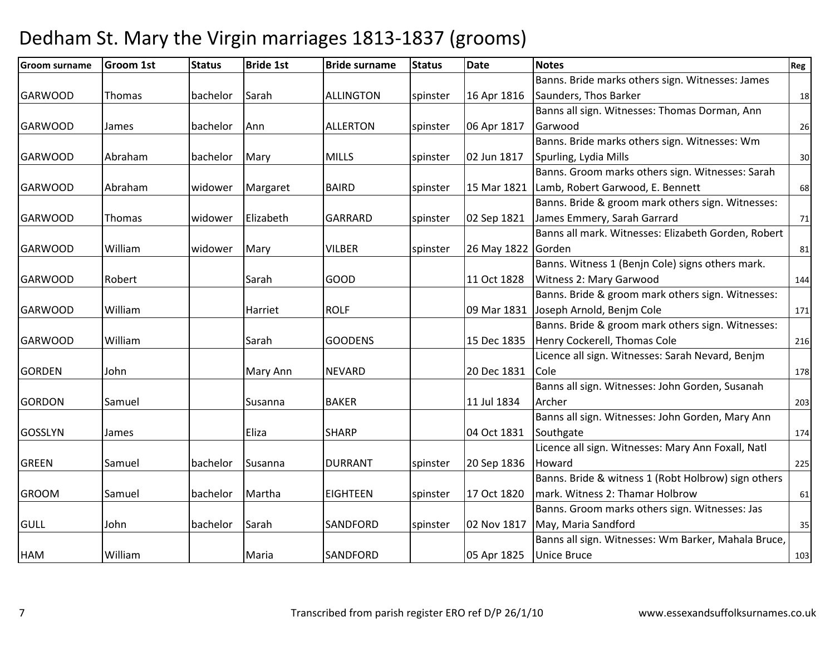| <b>Groom surname</b> | <b>Groom 1st</b> | <b>Status</b> | <b>Bride 1st</b> | <b>Bride surname</b> | <b>Status</b> | <b>Date</b> | <b>Notes</b>                                        | Reg |
|----------------------|------------------|---------------|------------------|----------------------|---------------|-------------|-----------------------------------------------------|-----|
|                      |                  |               |                  |                      |               |             | Banns. Bride marks others sign. Witnesses: James    |     |
| <b>GARWOOD</b>       | Thomas           | bachelor      | Sarah            | ALLINGTON            | spinster      | 16 Apr 1816 | Saunders, Thos Barker                               | 18  |
|                      |                  |               |                  |                      |               |             | Banns all sign. Witnesses: Thomas Dorman, Ann       |     |
| <b>GARWOOD</b>       | James            | bachelor      | Ann              | <b>ALLERTON</b>      | spinster      | 06 Apr 1817 | Garwood                                             | 26  |
|                      |                  |               |                  |                      |               |             | Banns. Bride marks others sign. Witnesses: Wm       |     |
| <b>GARWOOD</b>       | Abraham          | bachelor      | Mary             | <b>MILLS</b>         | spinster      | 02 Jun 1817 | Spurling, Lydia Mills                               | 30  |
|                      |                  |               |                  |                      |               |             | Banns. Groom marks others sign. Witnesses: Sarah    |     |
| <b>GARWOOD</b>       | Abraham          | widower       | Margaret         | <b>BAIRD</b>         | spinster      | 15 Mar 1821 | Lamb, Robert Garwood, E. Bennett                    | 68  |
|                      |                  |               |                  |                      |               |             | Banns. Bride & groom mark others sign. Witnesses:   |     |
| <b>GARWOOD</b>       | Thomas           | widower       | Elizabeth        | <b>GARRARD</b>       | spinster      | 02 Sep 1821 | James Emmery, Sarah Garrard                         | 71  |
|                      |                  |               |                  |                      |               |             | Banns all mark. Witnesses: Elizabeth Gorden, Robert |     |
| <b>GARWOOD</b>       | William          | widower       | Mary             | <b>VILBER</b>        | spinster      | 26 May 1822 | Gorden                                              | 81  |
|                      |                  |               |                  |                      |               |             | Banns. Witness 1 (Benjn Cole) signs others mark.    |     |
| <b>GARWOOD</b>       | Robert           |               | Sarah            | GOOD                 |               | 11 Oct 1828 | Witness 2: Mary Garwood                             | 144 |
|                      |                  |               |                  |                      |               |             | Banns. Bride & groom mark others sign. Witnesses:   |     |
| <b>GARWOOD</b>       | William          |               | Harriet          | <b>ROLF</b>          |               | 09 Mar 1831 | Joseph Arnold, Benjm Cole                           | 171 |
|                      |                  |               |                  |                      |               |             | Banns. Bride & groom mark others sign. Witnesses:   |     |
| <b>GARWOOD</b>       | William          |               | Sarah            | <b>GOODENS</b>       |               | 15 Dec 1835 | Henry Cockerell, Thomas Cole                        | 216 |
|                      |                  |               |                  |                      |               |             | Licence all sign. Witnesses: Sarah Nevard, Benjm    |     |
| <b>GORDEN</b>        | John             |               | Mary Ann         | <b>NEVARD</b>        |               | 20 Dec 1831 | <b>Cole</b>                                         | 178 |
|                      |                  |               |                  |                      |               |             | Banns all sign. Witnesses: John Gorden, Susanah     |     |
| <b>GORDON</b>        | Samuel           |               | Susanna          | <b>BAKER</b>         |               | 11 Jul 1834 | Archer                                              | 203 |
|                      |                  |               |                  |                      |               |             | Banns all sign. Witnesses: John Gorden, Mary Ann    |     |
| <b>GOSSLYN</b>       | James            |               | Eliza            | <b>SHARP</b>         |               | 04 Oct 1831 | Southgate                                           | 174 |
|                      |                  |               |                  |                      |               |             | Licence all sign. Witnesses: Mary Ann Foxall, Natl  |     |
| <b>GREEN</b>         | Samuel           | bachelor      | Susanna          | <b>DURRANT</b>       | spinster      | 20 Sep 1836 | Howard                                              | 225 |
|                      |                  |               |                  |                      |               |             | Banns. Bride & witness 1 (Robt Holbrow) sign others |     |
| <b>GROOM</b>         | Samuel           | bachelor      | Martha           | <b>EIGHTEEN</b>      | spinster      | 17 Oct 1820 | mark. Witness 2: Thamar Holbrow                     | 61  |
|                      |                  |               |                  |                      |               |             | Banns. Groom marks others sign. Witnesses: Jas      |     |
| GULL                 | John             | bachelor      | Sarah            | <b>SANDFORD</b>      | spinster      | 02 Nov 1817 | May, Maria Sandford                                 | 35  |
|                      |                  |               |                  |                      |               |             | Banns all sign. Witnesses: Wm Barker, Mahala Bruce, |     |
| <b>HAM</b>           | William          |               | Maria            | <b>SANDFORD</b>      |               | 05 Apr 1825 | <b>Unice Bruce</b>                                  | 103 |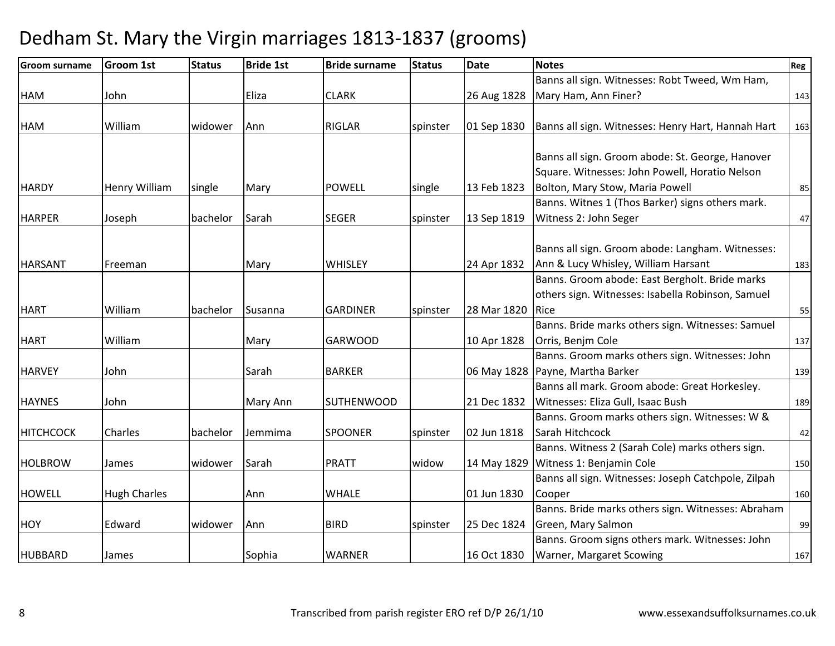| <b>Groom surname</b> | Groom 1st           | <b>Status</b> | <b>Bride 1st</b> | <b>Bride surname</b> | <b>Status</b> | <b>Date</b> | <b>Notes</b>                                        | Reg |
|----------------------|---------------------|---------------|------------------|----------------------|---------------|-------------|-----------------------------------------------------|-----|
|                      |                     |               |                  |                      |               |             | Banns all sign. Witnesses: Robt Tweed, Wm Ham,      |     |
| HAM                  | John                |               | Eliza            | <b>CLARK</b>         |               | 26 Aug 1828 | Mary Ham, Ann Finer?                                | 143 |
|                      |                     |               |                  |                      |               |             |                                                     |     |
| HAM                  | William             | widower       | Ann              | <b>RIGLAR</b>        | spinster      | 01 Sep 1830 | Banns all sign. Witnesses: Henry Hart, Hannah Hart  | 163 |
|                      |                     |               |                  |                      |               |             |                                                     |     |
|                      |                     |               |                  |                      |               |             | Banns all sign. Groom abode: St. George, Hanover    |     |
|                      |                     |               |                  |                      |               |             | Square. Witnesses: John Powell, Horatio Nelson      |     |
| <b>HARDY</b>         | Henry William       | single        | Mary             | <b>POWELL</b>        | single        | 13 Feb 1823 | Bolton, Mary Stow, Maria Powell                     | 85  |
|                      |                     |               |                  |                      |               |             | Banns. Witnes 1 (Thos Barker) signs others mark.    |     |
| <b>HARPER</b>        | Joseph              | bachelor      | Sarah            | <b>SEGER</b>         | spinster      | 13 Sep 1819 | Witness 2: John Seger                               | 47  |
|                      |                     |               |                  |                      |               |             |                                                     |     |
|                      |                     |               |                  |                      |               |             | Banns all sign. Groom abode: Langham. Witnesses:    |     |
| <b>HARSANT</b>       | Freeman             |               | Mary             | <b>WHISLEY</b>       |               | 24 Apr 1832 | Ann & Lucy Whisley, William Harsant                 | 183 |
|                      |                     |               |                  |                      |               |             | Banns. Groom abode: East Bergholt. Bride marks      |     |
|                      |                     |               |                  |                      |               |             | others sign. Witnesses: Isabella Robinson, Samuel   |     |
| <b>HART</b>          | William             | bachelor      | Susanna          | <b>GARDINER</b>      | spinster      | 28 Mar 1820 | Rice                                                | 55  |
|                      |                     |               |                  |                      |               |             | Banns. Bride marks others sign. Witnesses: Samuel   |     |
| <b>HART</b>          | William             |               | Mary             | <b>GARWOOD</b>       |               | 10 Apr 1828 | Orris, Benjm Cole                                   | 137 |
|                      |                     |               |                  |                      |               |             | Banns. Groom marks others sign. Witnesses: John     |     |
| <b>HARVEY</b>        | John                |               | Sarah            | <b>BARKER</b>        |               | 06 May 1828 | Payne, Martha Barker                                | 139 |
|                      |                     |               |                  |                      |               |             | Banns all mark. Groom abode: Great Horkesley.       |     |
| <b>HAYNES</b>        | John                |               | Mary Ann         | <b>SUTHENWOOD</b>    |               | 21 Dec 1832 | Witnesses: Eliza Gull, Isaac Bush                   | 189 |
|                      |                     |               |                  |                      |               |             | Banns. Groom marks others sign. Witnesses: W &      |     |
| <b>HITCHCOCK</b>     | Charles             | bachelor      | Jemmima          | <b>SPOONER</b>       | spinster      | 02 Jun 1818 | Sarah Hitchcock                                     | 42  |
|                      |                     |               |                  |                      |               |             | Banns. Witness 2 (Sarah Cole) marks others sign.    |     |
| <b>HOLBROW</b>       | James               | widower       | Sarah            | <b>PRATT</b>         | widow         | 14 May 1829 | Witness 1: Benjamin Cole                            | 150 |
|                      |                     |               |                  |                      |               |             | Banns all sign. Witnesses: Joseph Catchpole, Zilpah |     |
| <b>HOWELL</b>        | <b>Hugh Charles</b> |               | Ann              | <b>WHALE</b>         |               | 01 Jun 1830 | Cooper                                              | 160 |
|                      |                     |               |                  |                      |               |             | Banns. Bride marks others sign. Witnesses: Abraham  |     |
| <b>HOY</b>           | Edward              | widower       | Ann              | <b>BIRD</b>          | spinster      | 25 Dec 1824 | Green, Mary Salmon                                  | 99  |
|                      |                     |               |                  |                      |               |             | Banns. Groom signs others mark. Witnesses: John     |     |
| <b>HUBBARD</b>       | James               |               | Sophia           | <b>WARNER</b>        |               | 16 Oct 1830 | <b>Warner, Margaret Scowing</b>                     | 167 |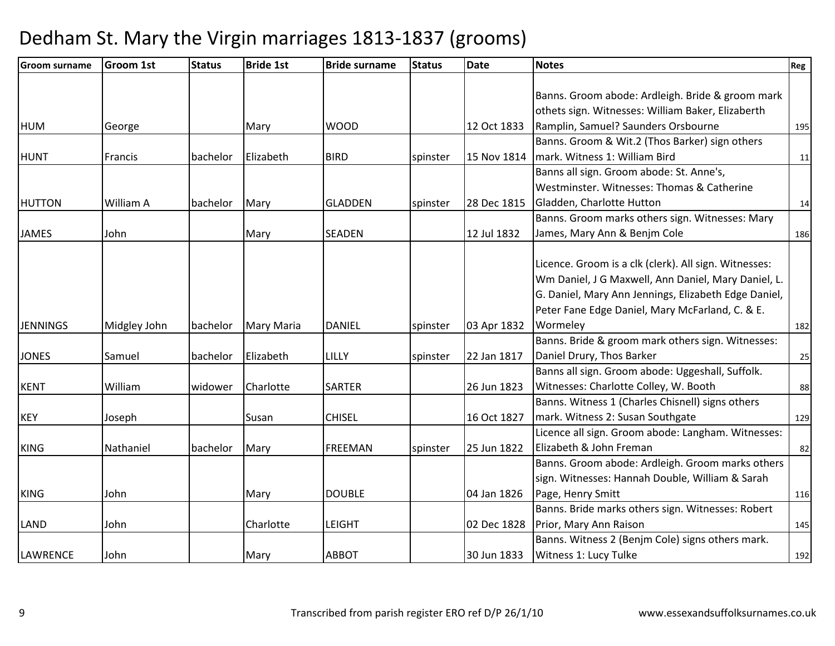| <b>Groom surname</b> | <b>Groom 1st</b> | <b>Status</b> | <b>Bride 1st</b> | <b>Bride surname</b> | <b>Status</b> | <b>Date</b> | <b>Notes</b>                                          | Reg |
|----------------------|------------------|---------------|------------------|----------------------|---------------|-------------|-------------------------------------------------------|-----|
|                      |                  |               |                  |                      |               |             |                                                       |     |
|                      |                  |               |                  |                      |               |             | Banns. Groom abode: Ardleigh. Bride & groom mark      |     |
|                      |                  |               |                  |                      |               |             | othets sign. Witnesses: William Baker, Elizaberth     |     |
| <b>HUM</b>           | George           |               | Mary             | <b>WOOD</b>          |               | 12 Oct 1833 | Ramplin, Samuel? Saunders Orsbourne                   | 195 |
|                      |                  |               |                  |                      |               |             | Banns. Groom & Wit.2 (Thos Barker) sign others        |     |
| <b>HUNT</b>          | Francis          | bachelor      | Elizabeth        | <b>BIRD</b>          | spinster      | 15 Nov 1814 | mark. Witness 1: William Bird                         | 11  |
|                      |                  |               |                  |                      |               |             | Banns all sign. Groom abode: St. Anne's,              |     |
|                      |                  |               |                  |                      |               |             | Westminster. Witnesses: Thomas & Catherine            |     |
| <b>HUTTON</b>        | William A        | bachelor      | Mary             | <b>GLADDEN</b>       | spinster      | 28 Dec 1815 | Gladden, Charlotte Hutton                             | 14  |
|                      |                  |               |                  |                      |               |             | Banns. Groom marks others sign. Witnesses: Mary       |     |
| <b>JAMES</b>         | John             |               | Mary             | <b>SEADEN</b>        |               | 12 Jul 1832 | James, Mary Ann & Benjm Cole                          | 186 |
|                      |                  |               |                  |                      |               |             |                                                       |     |
|                      |                  |               |                  |                      |               |             | Licence. Groom is a clk (clerk). All sign. Witnesses: |     |
|                      |                  |               |                  |                      |               |             | Wm Daniel, J G Maxwell, Ann Daniel, Mary Daniel, L.   |     |
|                      |                  |               |                  |                      |               |             | G. Daniel, Mary Ann Jennings, Elizabeth Edge Daniel,  |     |
|                      |                  |               |                  |                      |               |             | Peter Fane Edge Daniel, Mary McFarland, C. & E.       |     |
| <b>JENNINGS</b>      | Midgley John     | bachelor      | Mary Maria       | <b>DANIEL</b>        | spinster      | 03 Apr 1832 | Wormeley                                              | 182 |
|                      |                  |               |                  |                      |               |             | Banns. Bride & groom mark others sign. Witnesses:     |     |
| <b>JONES</b>         | Samuel           | bachelor      | Elizabeth        | LILLY                | spinster      | 22 Jan 1817 | Daniel Drury, Thos Barker                             | 25  |
|                      |                  |               |                  |                      |               |             | Banns all sign. Groom abode: Uggeshall, Suffolk.      |     |
| <b>KENT</b>          | William          | widower       | Charlotte        | <b>SARTER</b>        |               | 26 Jun 1823 | Witnesses: Charlotte Colley, W. Booth                 | 88  |
|                      |                  |               |                  |                      |               |             | Banns. Witness 1 (Charles Chisnell) signs others      |     |
| <b>KEY</b>           | Joseph           |               | Susan            | <b>CHISEL</b>        |               | 16 Oct 1827 | mark. Witness 2: Susan Southgate                      | 129 |
|                      |                  |               |                  |                      |               |             | Licence all sign. Groom abode: Langham. Witnesses:    |     |
| <b>KING</b>          | Nathaniel        | bachelor      | Mary             | <b>FREEMAN</b>       | spinster      | 25 Jun 1822 | Elizabeth & John Freman                               | 82  |
|                      |                  |               |                  |                      |               |             | Banns. Groom abode: Ardleigh. Groom marks others      |     |
|                      |                  |               |                  |                      |               |             | sign. Witnesses: Hannah Double, William & Sarah       |     |
| <b>KING</b>          | John             |               | Mary             | <b>DOUBLE</b>        |               | 04 Jan 1826 | Page, Henry Smitt                                     | 116 |
|                      |                  |               |                  |                      |               |             | Banns. Bride marks others sign. Witnesses: Robert     |     |
| <b>LAND</b>          | John             |               | Charlotte        | <b>LEIGHT</b>        |               | 02 Dec 1828 | Prior, Mary Ann Raison                                | 145 |
|                      |                  |               |                  |                      |               |             | Banns. Witness 2 (Benjm Cole) signs others mark.      |     |
| <b>LAWRENCE</b>      | John             |               | Mary             | <b>ABBOT</b>         |               | 30 Jun 1833 | Witness 1: Lucy Tulke                                 | 192 |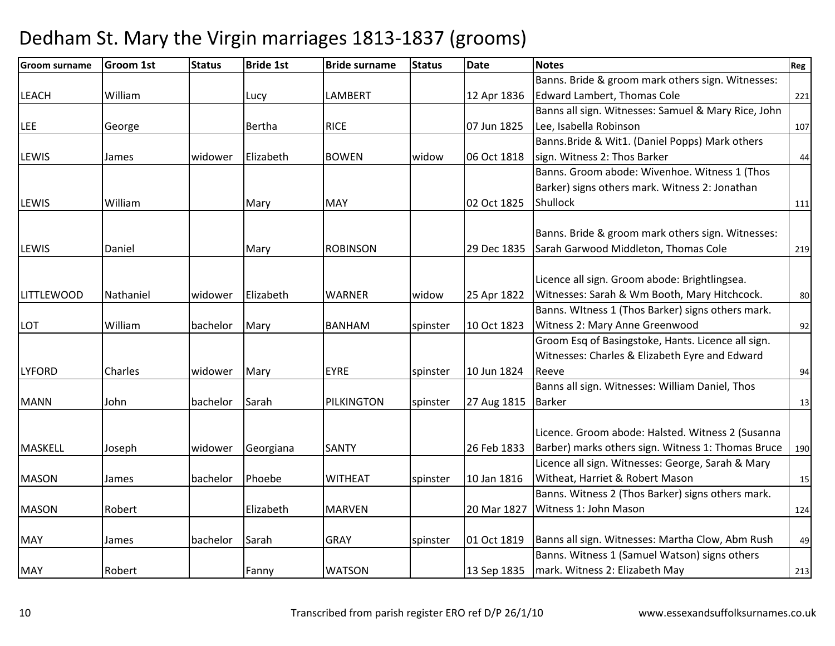| <b>Groom surname</b> | <b>Groom 1st</b> | <b>Status</b> | <b>Bride 1st</b> | <b>Bride surname</b> | <b>Status</b> | <b>Date</b> | <b>Notes</b>                                        | Reg |
|----------------------|------------------|---------------|------------------|----------------------|---------------|-------------|-----------------------------------------------------|-----|
|                      |                  |               |                  |                      |               |             | Banns. Bride & groom mark others sign. Witnesses:   |     |
| <b>LEACH</b>         | William          |               | Lucy             | <b>LAMBERT</b>       |               | 12 Apr 1836 | <b>Edward Lambert, Thomas Cole</b>                  | 221 |
|                      |                  |               |                  |                      |               |             | Banns all sign. Witnesses: Samuel & Mary Rice, John |     |
| <b>LEE</b>           | George           |               | Bertha           | <b>RICE</b>          |               | 07 Jun 1825 | Lee, Isabella Robinson                              | 107 |
|                      |                  |               |                  |                      |               |             | Banns. Bride & Wit1. (Daniel Popps) Mark others     |     |
| LEWIS                | James            | widower       | Elizabeth        | <b>BOWEN</b>         | widow         | 06 Oct 1818 | sign. Witness 2: Thos Barker                        | 44  |
|                      |                  |               |                  |                      |               |             | Banns. Groom abode: Wivenhoe. Witness 1 (Thos       |     |
|                      |                  |               |                  |                      |               |             | Barker) signs others mark. Witness 2: Jonathan      |     |
| <b>LEWIS</b>         | William          |               | Mary             | <b>MAY</b>           |               | 02 Oct 1825 | Shullock                                            | 111 |
|                      |                  |               |                  |                      |               |             |                                                     |     |
|                      |                  |               |                  |                      |               |             | Banns. Bride & groom mark others sign. Witnesses:   |     |
| <b>LEWIS</b>         | Daniel           |               | Mary             | <b>ROBINSON</b>      |               | 29 Dec 1835 | Sarah Garwood Middleton, Thomas Cole                | 219 |
|                      |                  |               |                  |                      |               |             |                                                     |     |
|                      |                  |               |                  |                      |               |             | Licence all sign. Groom abode: Brightlingsea.       |     |
| <b>LITTLEWOOD</b>    | Nathaniel        | widower       | Elizabeth        | <b>WARNER</b>        | widow         | 25 Apr 1822 | Witnesses: Sarah & Wm Booth, Mary Hitchcock.        | 80  |
|                      |                  |               |                  |                      |               |             | Banns. Witness 1 (Thos Barker) signs others mark.   |     |
| LOT                  | William          | bachelor      | Mary             | <b>BANHAM</b>        | spinster      | 10 Oct 1823 | Witness 2: Mary Anne Greenwood                      | 92  |
|                      |                  |               |                  |                      |               |             | Groom Esq of Basingstoke, Hants. Licence all sign.  |     |
|                      |                  |               |                  |                      |               |             | Witnesses: Charles & Elizabeth Eyre and Edward      |     |
| <b>LYFORD</b>        | Charles          | widower       | Mary             | <b>EYRE</b>          | spinster      | 10 Jun 1824 | Reeve                                               | 94  |
|                      |                  |               |                  |                      |               |             | Banns all sign. Witnesses: William Daniel, Thos     |     |
| <b>MANN</b>          | John             | bachelor      | Sarah            | PILKINGTON           | spinster      | 27 Aug 1815 | <b>Barker</b>                                       | 13  |
|                      |                  |               |                  |                      |               |             |                                                     |     |
|                      |                  |               |                  |                      |               |             | Licence. Groom abode: Halsted. Witness 2 (Susanna   |     |
| <b>MASKELL</b>       | Joseph           | widower       | Georgiana        | <b>SANTY</b>         |               | 26 Feb 1833 | Barber) marks others sign. Witness 1: Thomas Bruce  | 190 |
|                      |                  |               |                  |                      |               |             | Licence all sign. Witnesses: George, Sarah & Mary   |     |
| <b>MASON</b>         | James            | bachelor      | Phoebe           | <b>WITHEAT</b>       | spinster      | 10 Jan 1816 | Witheat, Harriet & Robert Mason                     | 15  |
|                      |                  |               |                  |                      |               |             | Banns. Witness 2 (Thos Barker) signs others mark.   |     |
| <b>MASON</b>         | Robert           |               | Elizabeth        | <b>MARVEN</b>        |               | 20 Mar 1827 | Witness 1: John Mason                               | 124 |
|                      |                  |               |                  |                      |               |             |                                                     |     |
| <b>MAY</b>           | James            | bachelor      | Sarah            | <b>GRAY</b>          | spinster      | 01 Oct 1819 | Banns all sign. Witnesses: Martha Clow, Abm Rush    | 49  |
|                      |                  |               |                  |                      |               |             | Banns. Witness 1 (Samuel Watson) signs others       |     |
| <b>MAY</b>           | Robert           |               | Fanny            | <b>WATSON</b>        |               | 13 Sep 1835 | mark. Witness 2: Elizabeth May                      | 213 |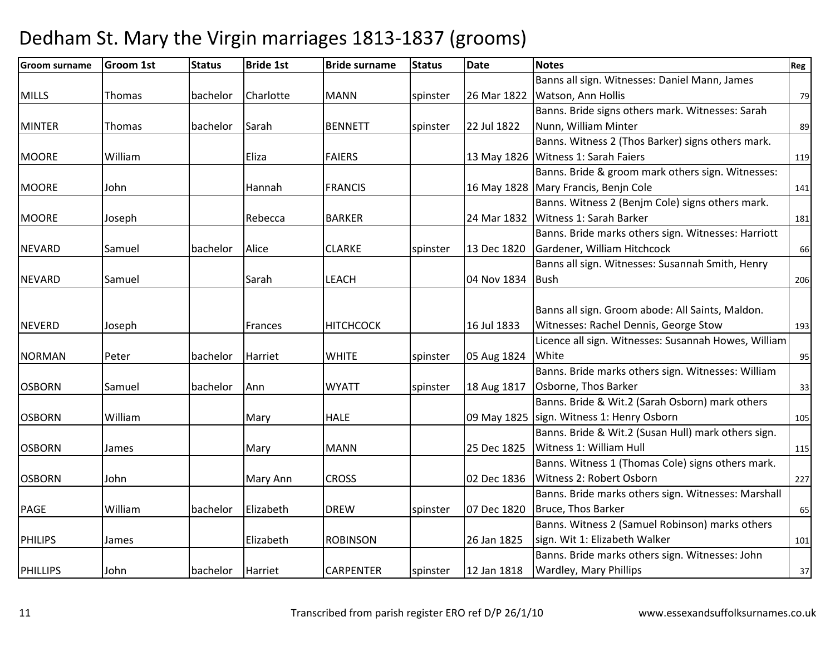| <b>Groom surname</b> | <b>Groom 1st</b> | <b>Status</b> | <b>Bride 1st</b> | <b>Bride surname</b> | <b>Status</b> | <b>Date</b> | <b>Notes</b>                                         | Reg |
|----------------------|------------------|---------------|------------------|----------------------|---------------|-------------|------------------------------------------------------|-----|
|                      |                  |               |                  |                      |               |             | Banns all sign. Witnesses: Daniel Mann, James        |     |
| <b>MILLS</b>         | Thomas           | bachelor      | Charlotte        | <b>MANN</b>          | spinster      | 26 Mar 1822 | Watson, Ann Hollis                                   | 79  |
|                      |                  |               |                  |                      |               |             | Banns. Bride signs others mark. Witnesses: Sarah     |     |
| <b>MINTER</b>        | Thomas           | bachelor      | Sarah            | <b>BENNETT</b>       | spinster      | 22 Jul 1822 | Nunn, William Minter                                 | 89  |
|                      |                  |               |                  |                      |               |             | Banns. Witness 2 (Thos Barker) signs others mark.    |     |
| <b>MOORE</b>         | William          |               | Eliza            | <b>FAIERS</b>        |               | 13 May 1826 | Witness 1: Sarah Faiers                              | 119 |
|                      |                  |               |                  |                      |               |             | Banns. Bride & groom mark others sign. Witnesses:    |     |
| <b>MOORE</b>         | John             |               | Hannah           | <b>FRANCIS</b>       |               | 16 May 1828 | Mary Francis, Benjn Cole                             | 141 |
|                      |                  |               |                  |                      |               |             | Banns. Witness 2 (Benjm Cole) signs others mark.     |     |
| <b>MOORE</b>         | Joseph           |               | Rebecca          | <b>BARKER</b>        |               | 24 Mar 1832 | Witness 1: Sarah Barker                              | 181 |
|                      |                  |               |                  |                      |               |             | Banns. Bride marks others sign. Witnesses: Harriott  |     |
| <b>NEVARD</b>        | Samuel           | bachelor      | Alice            | <b>CLARKE</b>        | spinster      | 13 Dec 1820 | Gardener, William Hitchcock                          | 66  |
|                      |                  |               |                  |                      |               |             | Banns all sign. Witnesses: Susannah Smith, Henry     |     |
| <b>NEVARD</b>        | Samuel           |               | Sarah            | <b>LEACH</b>         |               | 04 Nov 1834 | <b>Bush</b>                                          | 206 |
|                      |                  |               |                  |                      |               |             |                                                      |     |
|                      |                  |               |                  |                      |               |             | Banns all sign. Groom abode: All Saints, Maldon.     |     |
| <b>NEVERD</b>        | Joseph           |               | Frances          | <b>HITCHCOCK</b>     |               | 16 Jul 1833 | Witnesses: Rachel Dennis, George Stow                | 193 |
|                      |                  |               |                  |                      |               |             | Licence all sign. Witnesses: Susannah Howes, William |     |
| <b>NORMAN</b>        | Peter            | bachelor      | Harriet          | <b>WHITE</b>         | spinster      | 05 Aug 1824 | White                                                | 95  |
|                      |                  |               |                  |                      |               |             | Banns. Bride marks others sign. Witnesses: William   |     |
| <b>OSBORN</b>        | Samuel           | bachelor      | Ann              | <b>WYATT</b>         | spinster      | 18 Aug 1817 | Osborne, Thos Barker                                 | 33  |
|                      |                  |               |                  |                      |               |             | Banns. Bride & Wit.2 (Sarah Osborn) mark others      |     |
| <b>OSBORN</b>        | William          |               | Mary             | <b>HALE</b>          |               | 09 May 1825 | sign. Witness 1: Henry Osborn                        | 105 |
|                      |                  |               |                  |                      |               |             | Banns. Bride & Wit.2 (Susan Hull) mark others sign.  |     |
| <b>OSBORN</b>        | James            |               | Mary             | <b>MANN</b>          |               | 25 Dec 1825 | Witness 1: William Hull                              | 115 |
|                      |                  |               |                  |                      |               |             | Banns. Witness 1 (Thomas Cole) signs others mark.    |     |
| <b>OSBORN</b>        | John             |               | Mary Ann         | <b>CROSS</b>         |               | 02 Dec 1836 | Witness 2: Robert Osborn                             | 227 |
|                      |                  |               |                  |                      |               |             | Banns. Bride marks others sign. Witnesses: Marshall  |     |
| <b>PAGE</b>          | William          | bachelor      | Elizabeth        | <b>DREW</b>          | spinster      | 07 Dec 1820 | Bruce, Thos Barker                                   | 65  |
|                      |                  |               |                  |                      |               |             | Banns. Witness 2 (Samuel Robinson) marks others      |     |
| <b>PHILIPS</b>       | James            |               | Elizabeth        | <b>ROBINSON</b>      |               | 26 Jan 1825 | sign. Wit 1: Elizabeth Walker                        | 101 |
|                      |                  |               |                  |                      |               |             | Banns. Bride marks others sign. Witnesses: John      |     |
| <b>PHILLIPS</b>      | John             | bachelor      | Harriet          | <b>CARPENTER</b>     | spinster      | 12 Jan 1818 | Wardley, Mary Phillips                               | 37  |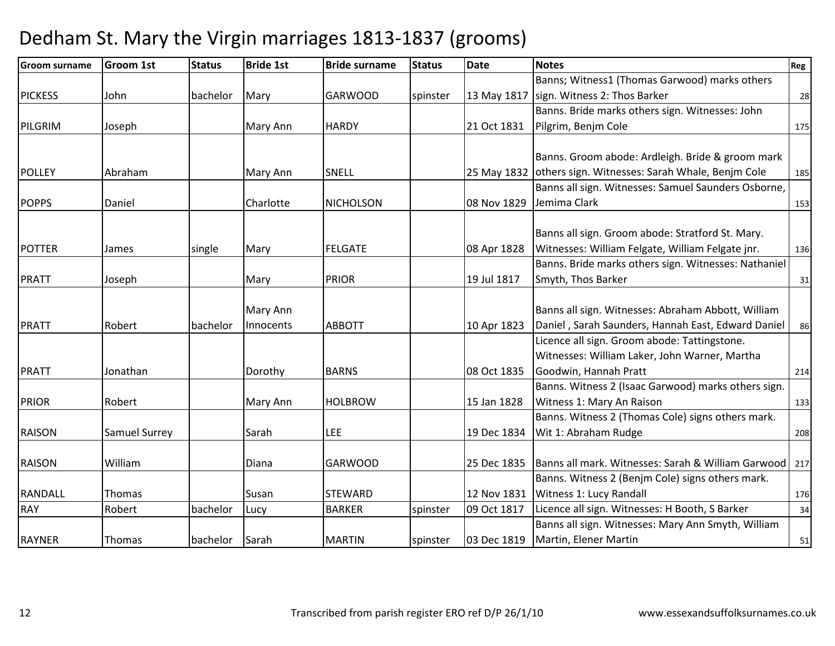| <b>Groom surname</b> | <b>Groom 1st</b>     | <b>Status</b> | <b>Bride 1st</b> | <b>Bride surname</b> | <b>Status</b> | <b>Date</b> | <b>Notes</b>                                                | Reg |
|----------------------|----------------------|---------------|------------------|----------------------|---------------|-------------|-------------------------------------------------------------|-----|
|                      |                      |               |                  |                      |               |             | Banns; Witness1 (Thomas Garwood) marks others               |     |
| <b>PICKESS</b>       | John                 | bachelor      | Mary             | <b>GARWOOD</b>       | spinster      | 13 May 1817 | sign. Witness 2: Thos Barker                                | 28  |
|                      |                      |               |                  |                      |               |             | Banns. Bride marks others sign. Witnesses: John             |     |
| PILGRIM              | Joseph               |               | Mary Ann         | <b>HARDY</b>         |               | 21 Oct 1831 | Pilgrim, Benjm Cole                                         | 175 |
|                      |                      |               |                  |                      |               |             |                                                             |     |
|                      |                      |               |                  |                      |               |             | Banns. Groom abode: Ardleigh. Bride & groom mark            |     |
| <b>POLLEY</b>        | Abraham              |               | Mary Ann         | SNELL                |               |             | 25 May 1832 others sign. Witnesses: Sarah Whale, Benjm Cole | 185 |
|                      |                      |               |                  |                      |               |             | Banns all sign. Witnesses: Samuel Saunders Osborne,         |     |
| <b>POPPS</b>         | Daniel               |               | Charlotte        | <b>NICHOLSON</b>     |               | 08 Nov 1829 | Jemima Clark                                                | 153 |
|                      |                      |               |                  |                      |               |             | Banns all sign. Groom abode: Stratford St. Mary.            |     |
| <b>POTTER</b>        | James                | single        | Mary             | <b>FELGATE</b>       |               | 08 Apr 1828 | Witnesses: William Felgate, William Felgate jnr.            | 136 |
|                      |                      |               |                  |                      |               |             | Banns. Bride marks others sign. Witnesses: Nathaniel        |     |
| <b>PRATT</b>         | Joseph               |               | Mary             | <b>PRIOR</b>         |               | 19 Jul 1817 | Smyth, Thos Barker                                          | 31  |
|                      |                      |               |                  |                      |               |             |                                                             |     |
|                      |                      |               | Mary Ann         |                      |               |             | Banns all sign. Witnesses: Abraham Abbott, William          |     |
| <b>PRATT</b>         | Robert               | bachelor      | Innocents        | <b>ABBOTT</b>        |               | 10 Apr 1823 | Daniel, Sarah Saunders, Hannah East, Edward Daniel          | 86  |
|                      |                      |               |                  |                      |               |             | Licence all sign. Groom abode: Tattingstone.                |     |
|                      |                      |               |                  |                      |               |             | Witnesses: William Laker, John Warner, Martha               |     |
| <b>PRATT</b>         | Jonathan             |               | Dorothy          | <b>BARNS</b>         |               | 08 Oct 1835 | Goodwin, Hannah Pratt                                       | 214 |
|                      |                      |               |                  |                      |               |             | Banns. Witness 2 (Isaac Garwood) marks others sign.         |     |
| <b>PRIOR</b>         | Robert               |               | Mary Ann         | <b>HOLBROW</b>       |               | 15 Jan 1828 | Witness 1: Mary An Raison                                   | 133 |
|                      |                      |               |                  |                      |               |             | Banns. Witness 2 (Thomas Cole) signs others mark.           |     |
| <b>RAISON</b>        | <b>Samuel Surrey</b> |               | Sarah            | <b>LEE</b>           |               | 19 Dec 1834 | Wit 1: Abraham Rudge                                        | 208 |
|                      |                      |               |                  |                      |               |             |                                                             |     |
| <b>RAISON</b>        | William              |               | Diana            | <b>GARWOOD</b>       |               | 25 Dec 1835 | Banns all mark. Witnesses: Sarah & William Garwood   217    |     |
|                      |                      |               |                  |                      |               |             | Banns. Witness 2 (Benjm Cole) signs others mark.            |     |
| <b>RANDALL</b>       | Thomas               |               | Susan            | <b>STEWARD</b>       |               | 12 Nov 1831 | Witness 1: Lucy Randall                                     | 176 |
| <b>RAY</b>           | Robert               | bachelor      | Lucy             | <b>BARKER</b>        | spinster      | 09 Oct 1817 | Licence all sign. Witnesses: H Booth, S Barker              | 34  |
|                      |                      |               |                  |                      |               |             | Banns all sign. Witnesses: Mary Ann Smyth, William          |     |
| <b>RAYNER</b>        | Thomas               | bachelor      | Sarah            | <b>MARTIN</b>        | spinster      | 03 Dec 1819 | Martin, Elener Martin                                       | 51  |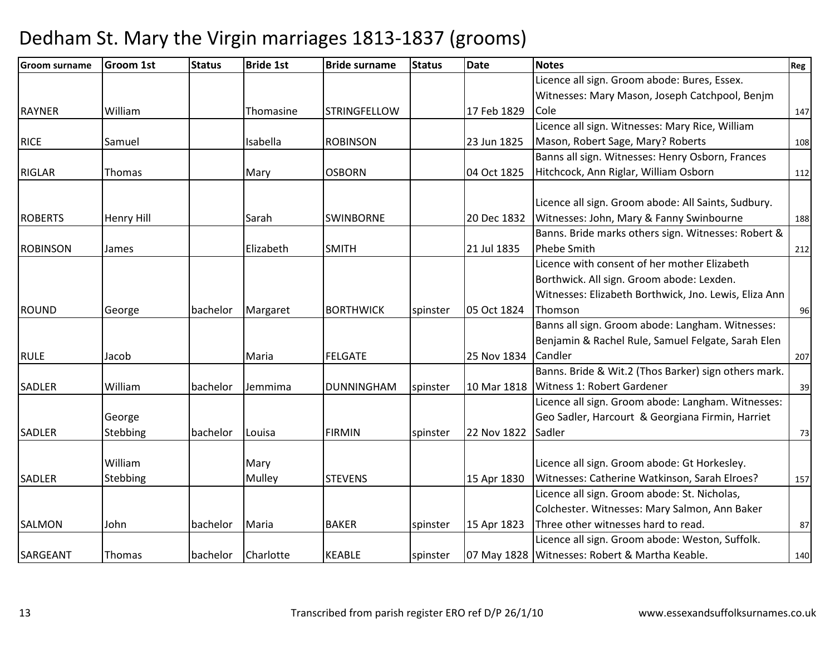| <b>Groom surname</b> | <b>Groom 1st</b>  | <b>Status</b> | <b>Bride 1st</b> | <b>Bride surname</b> | <b>Status</b> | <b>Date</b> | <b>Notes</b>                                          | Reg |
|----------------------|-------------------|---------------|------------------|----------------------|---------------|-------------|-------------------------------------------------------|-----|
|                      |                   |               |                  |                      |               |             | Licence all sign. Groom abode: Bures, Essex.          |     |
|                      |                   |               |                  |                      |               |             | Witnesses: Mary Mason, Joseph Catchpool, Benjm        |     |
| <b>RAYNER</b>        | William           |               | Thomasine        | <b>STRINGFELLOW</b>  |               | 17 Feb 1829 | Cole                                                  | 147 |
|                      |                   |               |                  |                      |               |             | Licence all sign. Witnesses: Mary Rice, William       |     |
| <b>RICE</b>          | Samuel            |               | Isabella         | <b>ROBINSON</b>      |               | 23 Jun 1825 | Mason, Robert Sage, Mary? Roberts                     | 108 |
|                      |                   |               |                  |                      |               |             | Banns all sign. Witnesses: Henry Osborn, Frances      |     |
| <b>RIGLAR</b>        | Thomas            |               | Mary             | <b>OSBORN</b>        |               | 04 Oct 1825 | Hitchcock, Ann Riglar, William Osborn                 | 112 |
|                      |                   |               |                  |                      |               |             |                                                       |     |
|                      |                   |               |                  |                      |               |             | Licence all sign. Groom abode: All Saints, Sudbury.   |     |
| <b>ROBERTS</b>       | <b>Henry Hill</b> |               | Sarah            | <b>SWINBORNE</b>     |               | 20 Dec 1832 | Witnesses: John, Mary & Fanny Swinbourne              | 188 |
|                      |                   |               |                  |                      |               |             | Banns. Bride marks others sign. Witnesses: Robert &   |     |
| <b>ROBINSON</b>      | James             |               | Elizabeth        | <b>SMITH</b>         |               | 21 Jul 1835 | <b>Phebe Smith</b>                                    | 212 |
|                      |                   |               |                  |                      |               |             | Licence with consent of her mother Elizabeth          |     |
|                      |                   |               |                  |                      |               |             | Borthwick. All sign. Groom abode: Lexden.             |     |
|                      |                   |               |                  |                      |               |             | Witnesses: Elizabeth Borthwick, Jno. Lewis, Eliza Ann |     |
| <b>ROUND</b>         | George            | bachelor      | Margaret         | <b>BORTHWICK</b>     | spinster      | 05 Oct 1824 | Thomson                                               | 96  |
|                      |                   |               |                  |                      |               |             | Banns all sign. Groom abode: Langham. Witnesses:      |     |
|                      |                   |               |                  |                      |               |             | Benjamin & Rachel Rule, Samuel Felgate, Sarah Elen    |     |
| <b>RULE</b>          | Jacob             |               | Maria            | <b>FELGATE</b>       |               | 25 Nov 1834 | Candler                                               | 207 |
|                      |                   |               |                  |                      |               |             | Banns. Bride & Wit.2 (Thos Barker) sign others mark.  |     |
| <b>SADLER</b>        | William           | bachelor      | Jemmima          | <b>DUNNINGHAM</b>    | spinster      | 10 Mar 1818 | Witness 1: Robert Gardener                            | 39  |
|                      |                   |               |                  |                      |               |             | Licence all sign. Groom abode: Langham. Witnesses:    |     |
|                      | George            |               |                  |                      |               |             | Geo Sadler, Harcourt & Georgiana Firmin, Harriet      |     |
| <b>SADLER</b>        | Stebbing          | bachelor      | Louisa           | <b>FIRMIN</b>        | spinster      | 22 Nov 1822 | Sadler                                                | 73  |
|                      |                   |               |                  |                      |               |             |                                                       |     |
|                      | William           |               | Mary             |                      |               |             | Licence all sign. Groom abode: Gt Horkesley.          |     |
| <b>SADLER</b>        | Stebbing          |               | Mulley           | <b>STEVENS</b>       |               | 15 Apr 1830 | Witnesses: Catherine Watkinson, Sarah Elroes?         | 157 |
|                      |                   |               |                  |                      |               |             | Licence all sign. Groom abode: St. Nicholas,          |     |
|                      |                   |               |                  |                      |               |             | Colchester. Witnesses: Mary Salmon, Ann Baker         |     |
| <b>SALMON</b>        | John              | bachelor      | Maria            | <b>BAKER</b>         | spinster      | 15 Apr 1823 | Three other witnesses hard to read.                   | 87  |
|                      |                   |               |                  |                      |               |             | Licence all sign. Groom abode: Weston, Suffolk.       |     |
| SARGEANT             | Thomas            | bachelor      | Charlotte        | <b>KEABLE</b>        | spinster      |             | 07 May 1828 Witnesses: Robert & Martha Keable.        | 140 |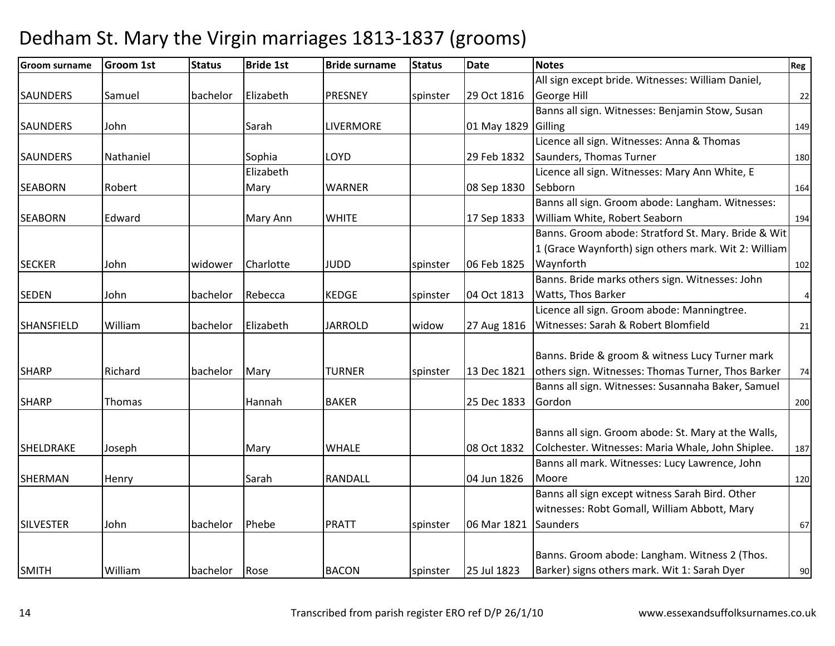| <b>Groom surname</b> | <b>Groom 1st</b> | <b>Status</b> | <b>Bride 1st</b> | <b>Bride surname</b> | <b>Status</b> | <b>Date</b> | <b>Notes</b>                                         | Reg       |
|----------------------|------------------|---------------|------------------|----------------------|---------------|-------------|------------------------------------------------------|-----------|
|                      |                  |               |                  |                      |               |             | All sign except bride. Witnesses: William Daniel,    |           |
| <b>SAUNDERS</b>      | Samuel           | bachelor      | Elizabeth        | <b>PRESNEY</b>       | spinster      | 29 Oct 1816 | George Hill                                          | 22        |
|                      |                  |               |                  |                      |               |             | Banns all sign. Witnesses: Benjamin Stow, Susan      |           |
| <b>SAUNDERS</b>      | John             |               | Sarah            | <b>LIVERMORE</b>     |               | 01 May 1829 | Gilling                                              | 149       |
|                      |                  |               |                  |                      |               |             | Licence all sign. Witnesses: Anna & Thomas           |           |
| <b>SAUNDERS</b>      | Nathaniel        |               | Sophia           | <b>LOYD</b>          |               | 29 Feb 1832 | Saunders, Thomas Turner                              | 180       |
|                      |                  |               | Elizabeth        |                      |               |             | Licence all sign. Witnesses: Mary Ann White, E       |           |
| <b>SEABORN</b>       | Robert           |               | Mary             | <b>WARNER</b>        |               | 08 Sep 1830 | Sebborn                                              | 164       |
|                      |                  |               |                  |                      |               |             | Banns all sign. Groom abode: Langham. Witnesses:     |           |
| <b>SEABORN</b>       | Edward           |               | Mary Ann         | <b>WHITE</b>         |               | 17 Sep 1833 | William White, Robert Seaborn                        | 194       |
|                      |                  |               |                  |                      |               |             | Banns. Groom abode: Stratford St. Mary. Bride & Wit  |           |
|                      |                  |               |                  |                      |               |             | 1 (Grace Waynforth) sign others mark. Wit 2: William |           |
| <b>SECKER</b>        | John             | widower       | Charlotte        | <b>JUDD</b>          | spinster      | 06 Feb 1825 | Waynforth                                            | 102       |
|                      |                  |               |                  |                      |               |             | Banns. Bride marks others sign. Witnesses: John      |           |
| <b>SEDEN</b>         | John             | bachelor      | Rebecca          | <b>KEDGE</b>         | spinster      | 04 Oct 1813 | <b>Watts, Thos Barker</b>                            | $\pmb{4}$ |
|                      |                  |               |                  |                      |               |             | Licence all sign. Groom abode: Manningtree.          |           |
| <b>SHANSFIELD</b>    | William          | bachelor      | Elizabeth        | <b>JARROLD</b>       | widow         | 27 Aug 1816 | Witnesses: Sarah & Robert Blomfield                  | 21        |
|                      |                  |               |                  |                      |               |             |                                                      |           |
|                      |                  |               |                  |                      |               |             | Banns. Bride & groom & witness Lucy Turner mark      |           |
| <b>SHARP</b>         | Richard          | bachelor      | Mary             | <b>TURNER</b>        | spinster      | 13 Dec 1821 | others sign. Witnesses: Thomas Turner, Thos Barker   | 74        |
|                      |                  |               |                  |                      |               |             | Banns all sign. Witnesses: Susannaha Baker, Samuel   |           |
| <b>SHARP</b>         | Thomas           |               | Hannah           | <b>BAKER</b>         |               | 25 Dec 1833 | Gordon                                               | 200       |
|                      |                  |               |                  |                      |               |             |                                                      |           |
|                      |                  |               |                  |                      |               |             | Banns all sign. Groom abode: St. Mary at the Walls,  |           |
| SHELDRAKE            | Joseph           |               | Mary             | <b>WHALE</b>         |               | 08 Oct 1832 | Colchester. Witnesses: Maria Whale, John Shiplee.    | 187       |
|                      |                  |               |                  |                      |               |             | Banns all mark. Witnesses: Lucy Lawrence, John       |           |
| SHERMAN              | Henry            |               | Sarah            | <b>RANDALL</b>       |               | 04 Jun 1826 | Moore                                                | 120       |
|                      |                  |               |                  |                      |               |             | Banns all sign except witness Sarah Bird. Other      |           |
|                      |                  |               |                  |                      |               |             | witnesses: Robt Gomall, William Abbott, Mary         |           |
| <b>SILVESTER</b>     | John             | bachelor      | Phebe            | <b>PRATT</b>         | spinster      | 06 Mar 1821 | <b>Saunders</b>                                      | 67        |
|                      |                  |               |                  |                      |               |             |                                                      |           |
|                      |                  |               |                  |                      |               |             | Banns. Groom abode: Langham. Witness 2 (Thos.        |           |
| <b>SMITH</b>         | William          | bachelor      | Rose             | <b>BACON</b>         | spinster      | 25 Jul 1823 | Barker) signs others mark. Wit 1: Sarah Dyer         | 90        |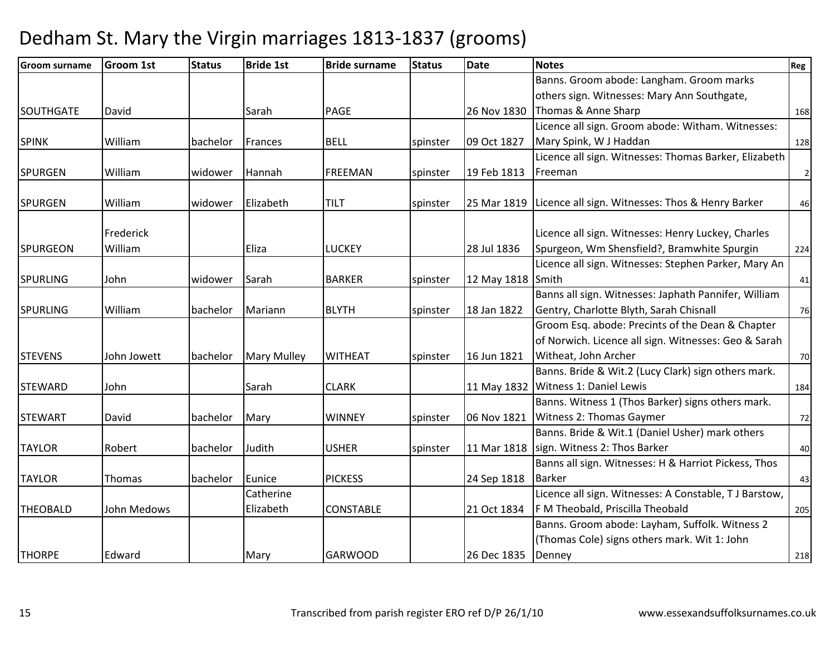| <b>Groom surname</b> | <b>Groom 1st</b> | <b>Status</b> | <b>Bride 1st</b>   | <b>Bride surname</b> | <b>Status</b> | <b>Date</b> | <b>Notes</b>                                                   | Reg         |
|----------------------|------------------|---------------|--------------------|----------------------|---------------|-------------|----------------------------------------------------------------|-------------|
|                      |                  |               |                    |                      |               |             | Banns. Groom abode: Langham. Groom marks                       |             |
|                      |                  |               |                    |                      |               |             | others sign. Witnesses: Mary Ann Southgate,                    |             |
| <b>SOUTHGATE</b>     | David            |               | Sarah              | <b>PAGE</b>          |               | 26 Nov 1830 | Thomas & Anne Sharp                                            | 168         |
|                      |                  |               |                    |                      |               |             | Licence all sign. Groom abode: Witham. Witnesses:              |             |
| <b>SPINK</b>         | William          | bachelor      | Frances            | <b>BELL</b>          | spinster      | 09 Oct 1827 | Mary Spink, W J Haddan                                         | 128         |
|                      |                  |               |                    |                      |               |             | Licence all sign. Witnesses: Thomas Barker, Elizabeth          |             |
| <b>SPURGEN</b>       | William          | widower       | Hannah             | <b>FREEMAN</b>       | spinster      | 19 Feb 1813 | Freeman                                                        | $\mathbf 2$ |
| <b>SPURGEN</b>       | William          | widower       | Elizabeth          | <b>TILT</b>          | spinster      |             | 25 Mar 1819   Licence all sign. Witnesses: Thos & Henry Barker | 46          |
|                      |                  |               |                    |                      |               |             |                                                                |             |
|                      | Frederick        |               |                    |                      |               |             | Licence all sign. Witnesses: Henry Luckey, Charles             |             |
| <b>SPURGEON</b>      | William          |               | Eliza              | <b>LUCKEY</b>        |               | 28 Jul 1836 | Spurgeon, Wm Shensfield?, Bramwhite Spurgin                    | 224         |
|                      |                  |               |                    |                      |               |             | Licence all sign. Witnesses: Stephen Parker, Mary An           |             |
| <b>SPURLING</b>      | John             | widower       | Sarah              | <b>BARKER</b>        | spinster      | 12 May 1818 | Smith                                                          | 41          |
|                      |                  |               |                    |                      |               |             | Banns all sign. Witnesses: Japhath Pannifer, William           |             |
| <b>SPURLING</b>      | William          | bachelor      | Mariann            | <b>BLYTH</b>         | spinster      | 18 Jan 1822 | Gentry, Charlotte Blyth, Sarah Chisnall                        | 76          |
|                      |                  |               |                    |                      |               |             | Groom Esq. abode: Precints of the Dean & Chapter               |             |
|                      |                  |               |                    |                      |               |             | of Norwich. Licence all sign. Witnesses: Geo & Sarah           |             |
| <b>STEVENS</b>       | John Jowett      | bachelor      | <b>Mary Mulley</b> | <b>WITHEAT</b>       | spinster      | 16 Jun 1821 | Witheat, John Archer                                           | 70          |
|                      |                  |               |                    |                      |               |             | Banns. Bride & Wit.2 (Lucy Clark) sign others mark.            |             |
| <b>STEWARD</b>       | John             |               | Sarah              | <b>CLARK</b>         |               | 11 May 1832 | Witness 1: Daniel Lewis                                        | 184         |
|                      |                  |               |                    |                      |               |             | Banns. Witness 1 (Thos Barker) signs others mark.              |             |
| <b>STEWART</b>       | David            | bachelor      | Mary               | <b>WINNEY</b>        | spinster      | 06 Nov 1821 | Witness 2: Thomas Gaymer                                       | 72          |
|                      |                  |               |                    |                      |               |             | Banns. Bride & Wit.1 (Daniel Usher) mark others                |             |
| <b>TAYLOR</b>        | Robert           | bachelor      | Judith             | <b>USHER</b>         | spinster      | 11 Mar 1818 | sign. Witness 2: Thos Barker                                   | 40          |
|                      |                  |               |                    |                      |               |             | Banns all sign. Witnesses: H & Harriot Pickess, Thos           |             |
| <b>TAYLOR</b>        | Thomas           | bachelor      | Eunice             | <b>PICKESS</b>       |               | 24 Sep 1818 | <b>Barker</b>                                                  | 43          |
|                      |                  |               | Catherine          |                      |               |             | Licence all sign. Witnesses: A Constable, TJ Barstow,          |             |
| <b>THEOBALD</b>      | John Medows      |               | Elizabeth          | <b>CONSTABLE</b>     |               | 21 Oct 1834 | F M Theobald, Priscilla Theobald                               | 205         |
|                      |                  |               |                    |                      |               |             | Banns. Groom abode: Layham, Suffolk. Witness 2                 |             |
|                      |                  |               |                    |                      |               |             | (Thomas Cole) signs others mark. Wit 1: John                   |             |
| <b>THORPE</b>        | Edward           |               | Mary               | <b>GARWOOD</b>       |               | 26 Dec 1835 | Denney                                                         | 218         |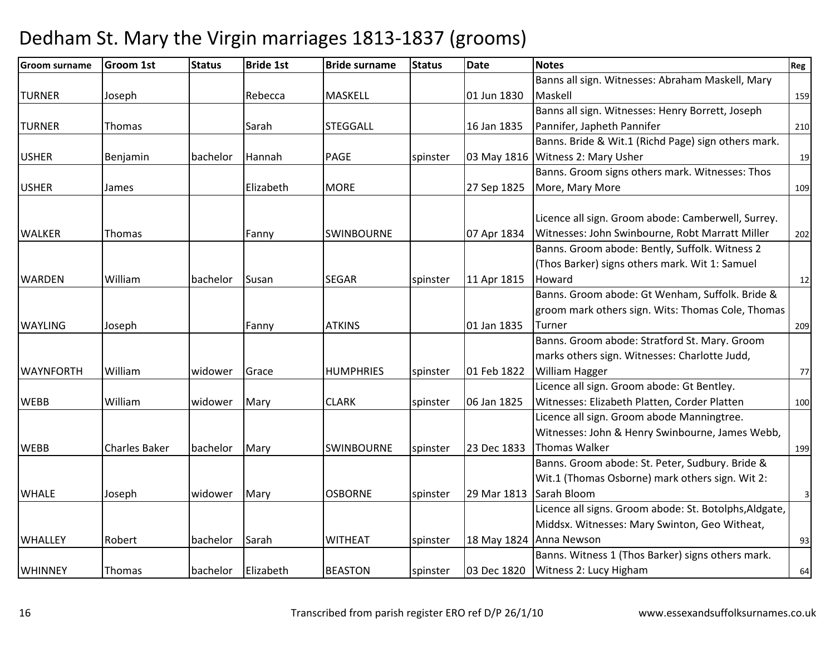| <b>Groom surname</b> | <b>Groom 1st</b>     | <b>Status</b> | <b>Bride 1st</b> | <b>Bride surname</b> | <b>Status</b> | <b>Date</b> | <b>Notes</b>                                           | Reg            |
|----------------------|----------------------|---------------|------------------|----------------------|---------------|-------------|--------------------------------------------------------|----------------|
|                      |                      |               |                  |                      |               |             | Banns all sign. Witnesses: Abraham Maskell, Mary       |                |
| <b>TURNER</b>        | Joseph               |               | Rebecca          | <b>MASKELL</b>       |               | 01 Jun 1830 | Maskell                                                | 159            |
|                      |                      |               |                  |                      |               |             | Banns all sign. Witnesses: Henry Borrett, Joseph       |                |
| <b>TURNER</b>        | Thomas               |               | Sarah            | <b>STEGGALL</b>      |               | 16 Jan 1835 | Pannifer, Japheth Pannifer                             | 210            |
|                      |                      |               |                  |                      |               |             | Banns. Bride & Wit.1 (Richd Page) sign others mark.    |                |
| <b>USHER</b>         | Benjamin             | bachelor      | Hannah           | <b>PAGE</b>          | spinster      | 03 May 1816 | Witness 2: Mary Usher                                  | 19             |
|                      |                      |               |                  |                      |               |             | Banns. Groom signs others mark. Witnesses: Thos        |                |
| <b>USHER</b>         | James                |               | Elizabeth        | <b>MORE</b>          |               | 27 Sep 1825 | More, Mary More                                        | 109            |
|                      |                      |               |                  |                      |               |             |                                                        |                |
|                      |                      |               |                  |                      |               |             | Licence all sign. Groom abode: Camberwell, Surrey.     |                |
| <b>WALKER</b>        | Thomas               |               | Fanny            | <b>SWINBOURNE</b>    |               | 07 Apr 1834 | Witnesses: John Swinbourne, Robt Marratt Miller        | 202            |
|                      |                      |               |                  |                      |               |             | Banns. Groom abode: Bently, Suffolk. Witness 2         |                |
|                      |                      |               |                  |                      |               |             | (Thos Barker) signs others mark. Wit 1: Samuel         |                |
| <b>WARDEN</b>        | William              | bachelor      | Susan            | <b>SEGAR</b>         | spinster      | 11 Apr 1815 | Howard                                                 | 12             |
|                      |                      |               |                  |                      |               |             | Banns. Groom abode: Gt Wenham, Suffolk. Bride &        |                |
|                      |                      |               |                  |                      |               |             | groom mark others sign. Wits: Thomas Cole, Thomas      |                |
| <b>WAYLING</b>       | Joseph               |               | Fanny            | <b>ATKINS</b>        |               | 01 Jan 1835 | Turner                                                 | 209            |
|                      |                      |               |                  |                      |               |             | Banns. Groom abode: Stratford St. Mary. Groom          |                |
|                      |                      |               |                  |                      |               |             | marks others sign. Witnesses: Charlotte Judd,          |                |
| <b>WAYNFORTH</b>     | William              | widower       | Grace            | <b>HUMPHRIES</b>     | spinster      | 01 Feb 1822 | William Hagger                                         | 77             |
|                      |                      |               |                  |                      |               |             | Licence all sign. Groom abode: Gt Bentley.             |                |
| <b>WEBB</b>          | William              | widower       | Mary             | <b>CLARK</b>         | spinster      | 06 Jan 1825 | Witnesses: Elizabeth Platten, Corder Platten           | 100            |
|                      |                      |               |                  |                      |               |             | Licence all sign. Groom abode Manningtree.             |                |
|                      |                      |               |                  |                      |               |             | Witnesses: John & Henry Swinbourne, James Webb,        |                |
| <b>WEBB</b>          | <b>Charles Baker</b> | bachelor      | Mary             | <b>SWINBOURNE</b>    | spinster      | 23 Dec 1833 | <b>Thomas Walker</b>                                   | 199            |
|                      |                      |               |                  |                      |               |             | Banns. Groom abode: St. Peter, Sudbury. Bride &        |                |
|                      |                      |               |                  |                      |               |             | Wit.1 (Thomas Osborne) mark others sign. Wit 2:        |                |
| <b>WHALE</b>         | Joseph               | widower       | Mary             | <b>OSBORNE</b>       | spinster      | 29 Mar 1813 | Sarah Bloom                                            | $\overline{3}$ |
|                      |                      |               |                  |                      |               |             | Licence all signs. Groom abode: St. Botolphs, Aldgate, |                |
|                      |                      |               |                  |                      |               |             | Middsx. Witnesses: Mary Swinton, Geo Witheat,          |                |
| <b>WHALLEY</b>       | Robert               | bachelor      | Sarah            | <b>WITHEAT</b>       | spinster      | 18 May 1824 | Anna Newson                                            | 93             |
|                      |                      |               |                  |                      |               |             | Banns. Witness 1 (Thos Barker) signs others mark.      |                |
| <b>WHINNEY</b>       | Thomas               | bachelor      | Elizabeth        | <b>BEASTON</b>       | spinster      | 03 Dec 1820 | Witness 2: Lucy Higham                                 | 64             |